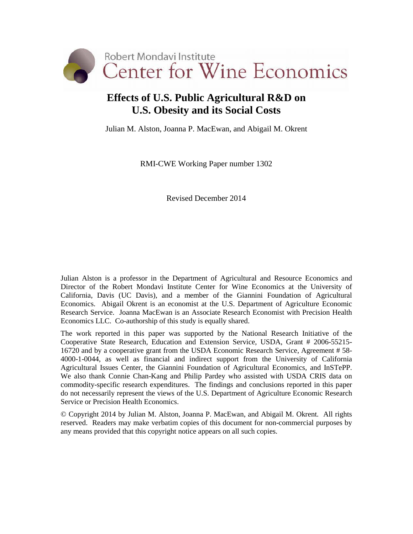

# **Effects of U.S. Public Agricultural R&D on U.S. Obesity and its Social Costs**

Julian M. Alston, Joanna P. MacEwan, and Abigail M. Okrent

RMI-CWE Working Paper number 1302

Revised December 2014

Julian Alston is a professor in the Department of Agricultural and Resource Economics and Director of the Robert Mondavi Institute Center for Wine Economics at the University of California, Davis (UC Davis), and a member of the Giannini Foundation of Agricultural Economics. Abigail Okrent is an economist at the U.S. Department of Agriculture Economic Research Service. Joanna MacEwan is an Associate Research Economist with Precision Health Economics LLC. Co-authorship of this study is equally shared.

The work reported in this paper was supported by the National Research Initiative of the Cooperative State Research, Education and Extension Service, USDA, Grant # 2006-55215- 16720 and by a cooperative grant from the USDA Economic Research Service, Agreement # 58- 4000-1-0044, as well as financial and indirect support from the University of California Agricultural Issues Center, the Giannini Foundation of Agricultural Economics, and InSTePP. We also thank Connie Chan-Kang and Philip Pardey who assisted with USDA CRIS data on commodity-specific research expenditures. The findings and conclusions reported in this paper do not necessarily represent the views of the U.S. Department of Agriculture Economic Research Service or Precision Health Economics.

© Copyright 2014 by Julian M. Alston, Joanna P. MacEwan, and Abigail M. Okrent. All rights reserved. Readers may make verbatim copies of this document for non-commercial purposes by any means provided that this copyright notice appears on all such copies.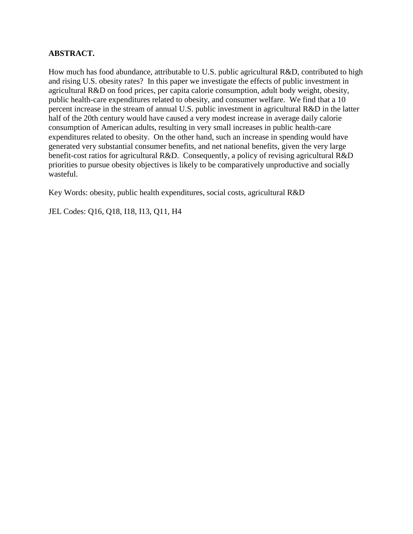### **ABSTRACT.**

How much has food abundance, attributable to U.S. public agricultural R&D, contributed to high and rising U.S. obesity rates? In this paper we investigate the effects of public investment in agricultural R&D on food prices, per capita calorie consumption, adult body weight, obesity, public health-care expenditures related to obesity, and consumer welfare. We find that a 10 percent increase in the stream of annual U.S. public investment in agricultural R&D in the latter half of the 20th century would have caused a very modest increase in average daily calorie consumption of American adults, resulting in very small increases in public health-care expenditures related to obesity. On the other hand, such an increase in spending would have generated very substantial consumer benefits, and net national benefits, given the very large benefit-cost ratios for agricultural R&D. Consequently, a policy of revising agricultural R&D priorities to pursue obesity objectives is likely to be comparatively unproductive and socially wasteful.

Key Words: obesity, public health expenditures, social costs, agricultural R&D

JEL Codes: Q16, Q18, I18, I13, Q11, H4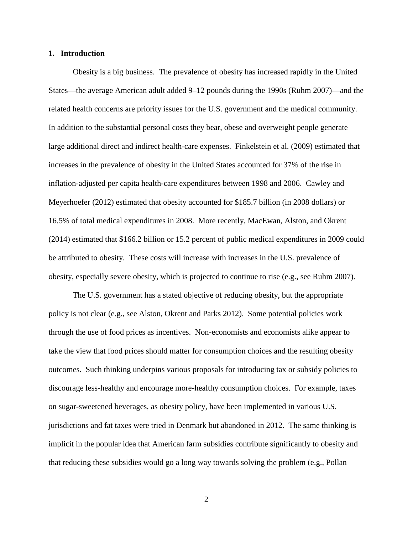### **1. Introduction**

Obesity is a big business. The prevalence of obesity has increased rapidly in the United States—the average American adult added 9–12 pounds during the 1990s (Ruhm 2007)—and the related health concerns are priority issues for the U.S. government and the medical community. In addition to the substantial personal costs they bear, obese and overweight people generate large additional direct and indirect health-care expenses. Finkelstein et al. (2009) estimated that increases in the prevalence of obesity in the United States accounted for 37% of the rise in inflation-adjusted per capita health-care expenditures between 1998 and 2006. Cawley and Meyerhoefer (2012) estimated that obesity accounted for \$185.7 billion (in 2008 dollars) or 16.5% of total medical expenditures in 2008. More recently, MacEwan, Alston, and Okrent (2014) estimated that \$166.2 billion or 15.2 percent of public medical expenditures in 2009 could be attributed to obesity. These costs will increase with increases in the U.S. prevalence of obesity, especially severe obesity, which is projected to continue to rise (e.g., see Ruhm 2007).

The U.S. government has a stated objective of reducing obesity, but the appropriate policy is not clear (e.g., see Alston, Okrent and Parks 2012). Some potential policies work through the use of food prices as incentives. Non-economists and economists alike appear to take the view that food prices should matter for consumption choices and the resulting obesity outcomes. Such thinking underpins various proposals for introducing tax or subsidy policies to discourage less-healthy and encourage more-healthy consumption choices. For example, taxes on sugar-sweetened beverages, as obesity policy, have been implemented in various U.S. jurisdictions and fat taxes were tried in Denmark but abandoned in 2012. The same thinking is implicit in the popular idea that American farm subsidies contribute significantly to obesity and that reducing these subsidies would go a long way towards solving the problem (e.g., Pollan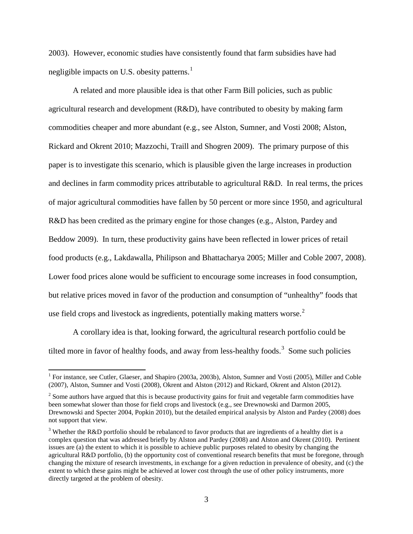2003). However, economic studies have consistently found that farm subsidies have had negligible impacts on U.S. obesity patterns. $<sup>1</sup>$  $<sup>1</sup>$  $<sup>1</sup>$ </sup>

A related and more plausible idea is that other Farm Bill policies, such as public agricultural research and development (R&D), have contributed to obesity by making farm commodities cheaper and more abundant (e.g., see Alston, Sumner, and Vosti 2008; Alston, Rickard and Okrent 2010; Mazzochi, Traill and Shogren 2009). The primary purpose of this paper is to investigate this scenario, which is plausible given the large increases in production and declines in farm commodity prices attributable to agricultural R&D. In real terms, the prices of major agricultural commodities have fallen by 50 percent or more since 1950, and agricultural R&D has been credited as the primary engine for those changes (e.g., Alston, Pardey and Beddow 2009). In turn, these productivity gains have been reflected in lower prices of retail food products (e.g., Lakdawalla, Philipson and Bhattacharya 2005; Miller and Coble 2007, 2008). Lower food prices alone would be sufficient to encourage some increases in food consumption, but relative prices moved in favor of the production and consumption of "unhealthy" foods that use field crops and livestock as ingredients, potentially making matters worse. $2$ 

A corollary idea is that, looking forward, the agricultural research portfolio could be tilted more in favor of healthy foods, and away from less-healthy foods.<sup>[3](#page-3-2)</sup> Some such policies

<span id="page-3-0"></span><sup>&</sup>lt;sup>1</sup> For instance, see Cutler, Glaeser, and Shapiro (2003a, 2003b), Alston, Sumner and Vosti (2005), Miller and Coble (2007), Alston, Sumner and Vosti (2008), Okrent and Alston (2012) and Rickard, Okrent and Alston (2012).

<span id="page-3-1"></span><sup>&</sup>lt;sup>2</sup> Some authors have argued that this is because productivity gains for fruit and vegetable farm commodities have been somewhat slower than those for field crops and livestock (e.g., see Drewnowski and Darmon 2005, Drewnowski and Specter 2004, Popkin 2010), but the detailed empirical analysis by Alston and Pardey (2008) does not support that view.

<span id="page-3-2"></span><sup>&</sup>lt;sup>3</sup> Whether the R&D portfolio should be rebalanced to favor products that are ingredients of a healthy diet is a complex question that was addressed briefly by Alston and Pardey (2008) and Alston and Okrent (2010). Pertinent issues are (a) the extent to which it is possible to achieve public purposes related to obesity by changing the agricultural R&D portfolio, (b) the opportunity cost of conventional research benefits that must be foregone, through changing the mixture of research investments, in exchange for a given reduction in prevalence of obesity, and (c) the extent to which these gains might be achieved at lower cost through the use of other policy instruments, more directly targeted at the problem of obesity.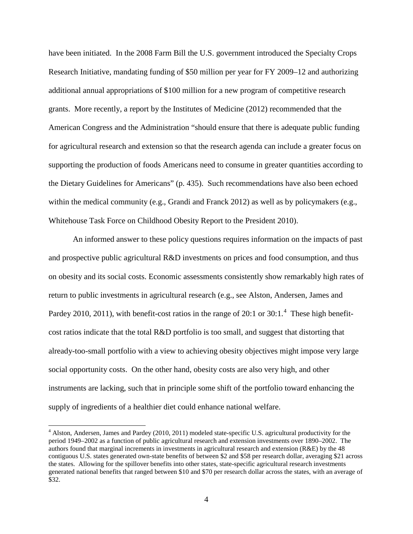have been initiated. In the 2008 Farm Bill the U.S. government introduced the Specialty Crops Research Initiative, mandating funding of \$50 million per year for FY 2009–12 and authorizing additional annual appropriations of \$100 million for a new program of competitive research grants. More recently, a report by the Institutes of Medicine (2012) recommended that the American Congress and the Administration "should ensure that there is adequate public funding for agricultural research and extension so that the research agenda can include a greater focus on supporting the production of foods Americans need to consume in greater quantities according to the Dietary Guidelines for Americans" (p. 435). Such recommendations have also been echoed within the medical community (e.g., Grandi and Franck 2012) as well as by policymakers (e.g., Whitehouse Task Force on Childhood Obesity Report to the President 2010).

An informed answer to these policy questions requires information on the impacts of past and prospective public agricultural R&D investments on prices and food consumption, and thus on obesity and its social costs. Economic assessments consistently show remarkably high rates of return to public investments in agricultural research (e.g., see Alston, Andersen, James and Pardey 2010, 2011), with benefit-cost ratios in the range of 20:1 or 30:1.<sup>[4](#page-4-0)</sup> These high benefitcost ratios indicate that the total R&D portfolio is too small, and suggest that distorting that already-too-small portfolio with a view to achieving obesity objectives might impose very large social opportunity costs. On the other hand, obesity costs are also very high, and other instruments are lacking, such that in principle some shift of the portfolio toward enhancing the supply of ingredients of a healthier diet could enhance national welfare.

<span id="page-4-0"></span><sup>&</sup>lt;sup>4</sup> Alston, Andersen, James and Pardey (2010, 2011) modeled state-specific U.S. agricultural productivity for the period 1949–2002 as a function of public agricultural research and extension investments over 1890–2002. The authors found that marginal increments in investments in agricultural research and extension (R&E) by the 48 contiguous U.S. states generated own-state benefits of between \$2 and \$58 per research dollar, averaging \$21 across the states. Allowing for the spillover benefits into other states, state-specific agricultural research investments generated national benefits that ranged between \$10 and \$70 per research dollar across the states, with an average of \$32.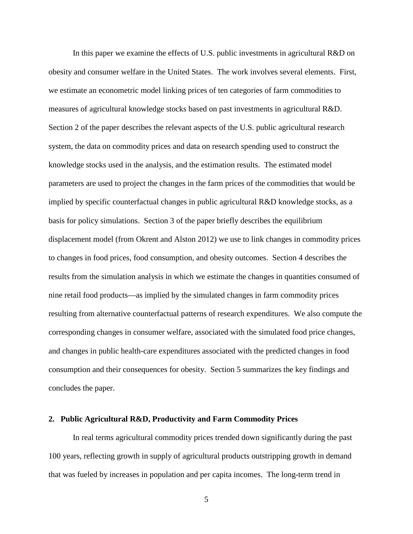In this paper we examine the effects of U.S. public investments in agricultural R&D on obesity and consumer welfare in the United States. The work involves several elements. First, we estimate an econometric model linking prices of ten categories of farm commodities to measures of agricultural knowledge stocks based on past investments in agricultural R&D. Section 2 of the paper describes the relevant aspects of the U.S. public agricultural research system, the data on commodity prices and data on research spending used to construct the knowledge stocks used in the analysis, and the estimation results. The estimated model parameters are used to project the changes in the farm prices of the commodities that would be implied by specific counterfactual changes in public agricultural R&D knowledge stocks, as a basis for policy simulations. Section 3 of the paper briefly describes the equilibrium displacement model (from Okrent and Alston 2012) we use to link changes in commodity prices to changes in food prices, food consumption, and obesity outcomes. Section 4 describes the results from the simulation analysis in which we estimate the changes in quantities consumed of nine retail food products—as implied by the simulated changes in farm commodity prices resulting from alternative counterfactual patterns of research expenditures. We also compute the corresponding changes in consumer welfare, associated with the simulated food price changes, and changes in public health-care expenditures associated with the predicted changes in food consumption and their consequences for obesity. Section 5 summarizes the key findings and concludes the paper.

### **2. Public Agricultural R&D, Productivity and Farm Commodity Prices**

In real terms agricultural commodity prices trended down significantly during the past 100 years, reflecting growth in supply of agricultural products outstripping growth in demand that was fueled by increases in population and per capita incomes. The long-term trend in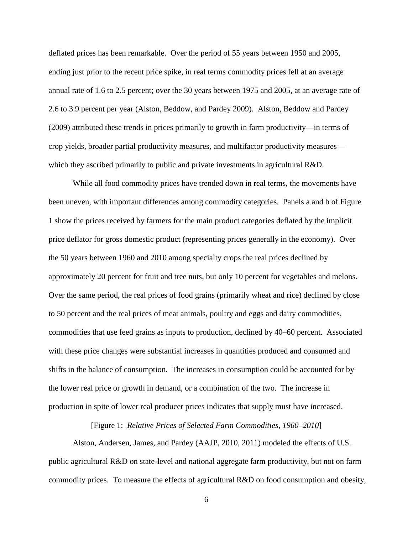deflated prices has been remarkable. Over the period of 55 years between 1950 and 2005, ending just prior to the recent price spike, in real terms commodity prices fell at an average annual rate of 1.6 to 2.5 percent; over the 30 years between 1975 and 2005, at an average rate of 2.6 to 3.9 percent per year (Alston, Beddow, and Pardey 2009). Alston, Beddow and Pardey (2009) attributed these trends in prices primarily to growth in farm productivity—in terms of crop yields, broader partial productivity measures, and multifactor productivity measures which they ascribed primarily to public and private investments in agricultural R&D.

While all food commodity prices have trended down in real terms, the movements have been uneven, with important differences among commodity categories. Panels a and b of Figure 1 show the prices received by farmers for the main product categories deflated by the implicit price deflator for gross domestic product (representing prices generally in the economy). Over the 50 years between 1960 and 2010 among specialty crops the real prices declined by approximately 20 percent for fruit and tree nuts, but only 10 percent for vegetables and melons. Over the same period, the real prices of food grains (primarily wheat and rice) declined by close to 50 percent and the real prices of meat animals, poultry and eggs and dairy commodities, commodities that use feed grains as inputs to production, declined by 40–60 percent. Associated with these price changes were substantial increases in quantities produced and consumed and shifts in the balance of consumption. The increases in consumption could be accounted for by the lower real price or growth in demand, or a combination of the two. The increase in production in spite of lower real producer prices indicates that supply must have increased.

[Figure 1: *Relative Prices of Selected Farm Commodities, 1960–2010*]

Alston, Andersen, James, and Pardey (AAJP, 2010, 2011) modeled the effects of U.S. public agricultural R&D on state-level and national aggregate farm productivity, but not on farm commodity prices. To measure the effects of agricultural R&D on food consumption and obesity,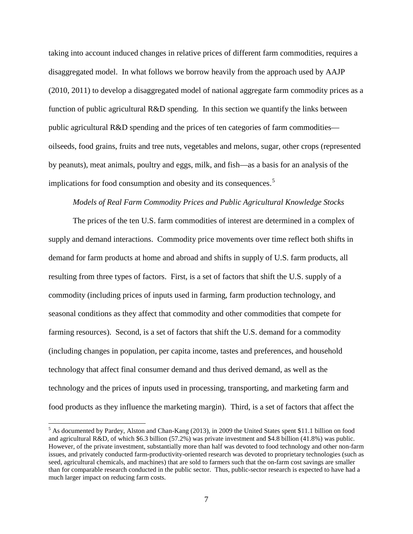taking into account induced changes in relative prices of different farm commodities, requires a disaggregated model. In what follows we borrow heavily from the approach used by AAJP (2010, 2011) to develop a disaggregated model of national aggregate farm commodity prices as a function of public agricultural R&D spending. In this section we quantify the links between public agricultural R&D spending and the prices of ten categories of farm commodities oilseeds, food grains, fruits and tree nuts, vegetables and melons, sugar, other crops (represented by peanuts), meat animals, poultry and eggs, milk, and fish—as a basis for an analysis of the implications for food consumption and obesity and its consequences.<sup>[5](#page-7-0)</sup>

### *Models of Real Farm Commodity Prices and Public Agricultural Knowledge Stocks*

The prices of the ten U.S. farm commodities of interest are determined in a complex of supply and demand interactions. Commodity price movements over time reflect both shifts in demand for farm products at home and abroad and shifts in supply of U.S. farm products, all resulting from three types of factors. First, is a set of factors that shift the U.S. supply of a commodity (including prices of inputs used in farming, farm production technology, and seasonal conditions as they affect that commodity and other commodities that compete for farming resources). Second, is a set of factors that shift the U.S. demand for a commodity (including changes in population, per capita income, tastes and preferences, and household technology that affect final consumer demand and thus derived demand, as well as the technology and the prices of inputs used in processing, transporting, and marketing farm and food products as they influence the marketing margin). Third, is a set of factors that affect the

<span id="page-7-0"></span> <sup>5</sup> As documented by Pardey, Alston and Chan-Kang (2013), in 2009 the United States spent \$11.1 billion on food and agricultural R&D, of which \$6.3 billion (57.2%) was private investment and \$4.8 billion (41.8%) was public. However, of the private investment, substantially more than half was devoted to food technology and other non-farm issues, and privately conducted farm-productivity-oriented research was devoted to proprietary technologies (such as seed, agricultural chemicals, and machines) that are sold to farmers such that the on-farm cost savings are smaller than for comparable research conducted in the public sector. Thus, public-sector research is expected to have had a much larger impact on reducing farm costs.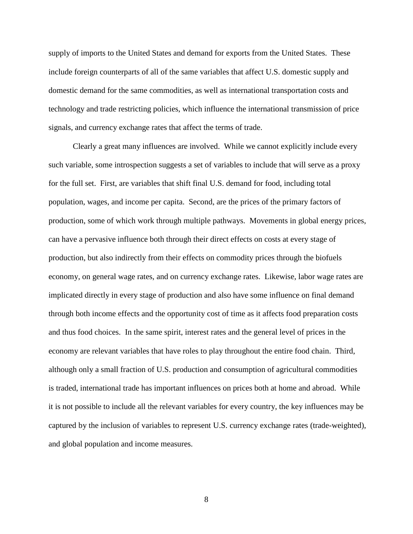supply of imports to the United States and demand for exports from the United States. These include foreign counterparts of all of the same variables that affect U.S. domestic supply and domestic demand for the same commodities, as well as international transportation costs and technology and trade restricting policies, which influence the international transmission of price signals, and currency exchange rates that affect the terms of trade.

Clearly a great many influences are involved. While we cannot explicitly include every such variable, some introspection suggests a set of variables to include that will serve as a proxy for the full set. First, are variables that shift final U.S. demand for food, including total population, wages, and income per capita. Second, are the prices of the primary factors of production, some of which work through multiple pathways. Movements in global energy prices, can have a pervasive influence both through their direct effects on costs at every stage of production, but also indirectly from their effects on commodity prices through the biofuels economy, on general wage rates, and on currency exchange rates. Likewise, labor wage rates are implicated directly in every stage of production and also have some influence on final demand through both income effects and the opportunity cost of time as it affects food preparation costs and thus food choices. In the same spirit, interest rates and the general level of prices in the economy are relevant variables that have roles to play throughout the entire food chain. Third, although only a small fraction of U.S. production and consumption of agricultural commodities is traded, international trade has important influences on prices both at home and abroad. While it is not possible to include all the relevant variables for every country, the key influences may be captured by the inclusion of variables to represent U.S. currency exchange rates (trade-weighted), and global population and income measures.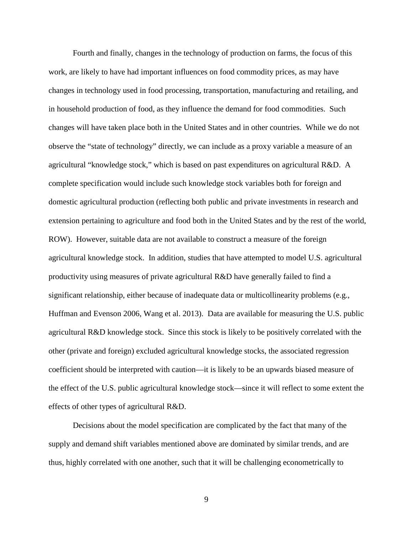Fourth and finally, changes in the technology of production on farms, the focus of this work, are likely to have had important influences on food commodity prices, as may have changes in technology used in food processing, transportation, manufacturing and retailing, and in household production of food, as they influence the demand for food commodities. Such changes will have taken place both in the United States and in other countries. While we do not observe the "state of technology" directly, we can include as a proxy variable a measure of an agricultural "knowledge stock," which is based on past expenditures on agricultural R&D. A complete specification would include such knowledge stock variables both for foreign and domestic agricultural production (reflecting both public and private investments in research and extension pertaining to agriculture and food both in the United States and by the rest of the world, ROW). However, suitable data are not available to construct a measure of the foreign agricultural knowledge stock. In addition, studies that have attempted to model U.S. agricultural productivity using measures of private agricultural R&D have generally failed to find a significant relationship, either because of inadequate data or multicollinearity problems (e.g., Huffman and Evenson 2006, Wang et al. 2013). Data are available for measuring the U.S. public agricultural R&D knowledge stock. Since this stock is likely to be positively correlated with the other (private and foreign) excluded agricultural knowledge stocks, the associated regression coefficient should be interpreted with caution—it is likely to be an upwards biased measure of the effect of the U.S. public agricultural knowledge stock—since it will reflect to some extent the effects of other types of agricultural R&D.

Decisions about the model specification are complicated by the fact that many of the supply and demand shift variables mentioned above are dominated by similar trends, and are thus, highly correlated with one another, such that it will be challenging econometrically to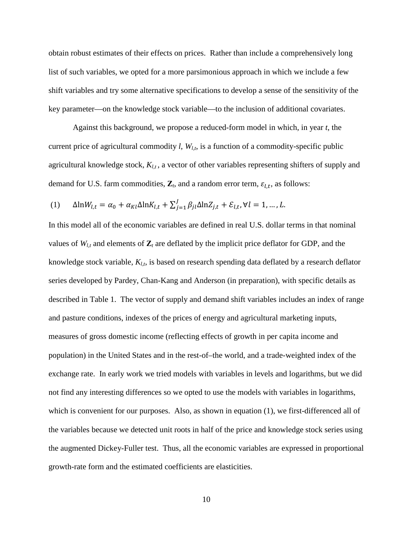obtain robust estimates of their effects on prices. Rather than include a comprehensively long list of such variables, we opted for a more parsimonious approach in which we include a few shift variables and try some alternative specifications to develop a sense of the sensitivity of the key parameter—on the knowledge stock variable—to the inclusion of additional covariates.

Against this background, we propose a reduced-form model in which, in year *t*, the current price of agricultural commodity  $l$ ,  $W_{l,t}$ , is a function of a commodity-specific public agricultural knowledge stock,  $K_{l,t}$ , a vector of other variables representing shifters of supply and demand for U.S. farm commodities,  $\mathbf{Z}_t$ , and a random error term,  $\varepsilon_{l,t}$ , as follows:

(1) 
$$
\Delta \ln W_{l,t} = \alpha_0 + \alpha_{Kl} \Delta \ln K_{l,t} + \sum_{j=1}^J \beta_{jl} \Delta \ln Z_{j,t} + \mathcal{E}_{l,t}, \forall l = 1, ..., L.
$$

In this model all of the economic variables are defined in real U.S. dollar terms in that nominal values of  $W_{l,t}$  and elements of  $\mathbb{Z}_t$  are deflated by the implicit price deflator for GDP, and the knowledge stock variable,  $K_{l,t}$  is based on research spending data deflated by a research deflator series developed by Pardey, Chan-Kang and Anderson (in preparation), with specific details as described in Table 1. The vector of supply and demand shift variables includes an index of range and pasture conditions, indexes of the prices of energy and agricultural marketing inputs, measures of gross domestic income (reflecting effects of growth in per capita income and population) in the United States and in the rest-of–the world, and a trade-weighted index of the exchange rate. In early work we tried models with variables in levels and logarithms, but we did not find any interesting differences so we opted to use the models with variables in logarithms, which is convenient for our purposes. Also, as shown in equation (1), we first-differenced all of the variables because we detected unit roots in half of the price and knowledge stock series using the augmented Dickey-Fuller test. Thus, all the economic variables are expressed in proportional growth-rate form and the estimated coefficients are elasticities.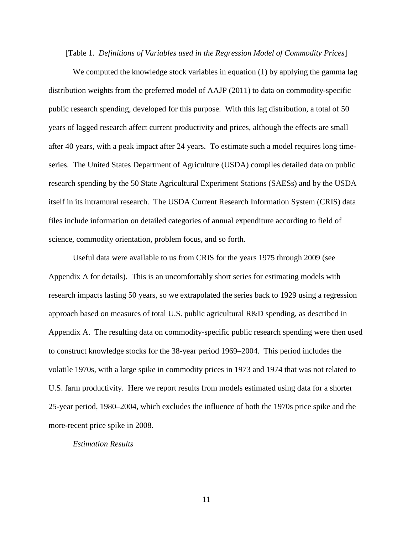[Table 1. *Definitions of Variables used in the Regression Model of Commodity Prices*]

We computed the knowledge stock variables in equation (1) by applying the gamma lag distribution weights from the preferred model of AAJP (2011) to data on commodity-specific public research spending, developed for this purpose. With this lag distribution, a total of 50 years of lagged research affect current productivity and prices, although the effects are small after 40 years, with a peak impact after 24 years. To estimate such a model requires long timeseries. The United States Department of Agriculture (USDA) compiles detailed data on public research spending by the 50 State Agricultural Experiment Stations (SAESs) and by the USDA itself in its intramural research. The USDA Current Research Information System (CRIS) data files include information on detailed categories of annual expenditure according to field of science, commodity orientation, problem focus, and so forth.

Useful data were available to us from CRIS for the years 1975 through 2009 (see Appendix A for details). This is an uncomfortably short series for estimating models with research impacts lasting 50 years, so we extrapolated the series back to 1929 using a regression approach based on measures of total U.S. public agricultural R&D spending, as described in Appendix A. The resulting data on commodity-specific public research spending were then used to construct knowledge stocks for the 38-year period 1969–2004. This period includes the volatile 1970s, with a large spike in commodity prices in 1973 and 1974 that was not related to U.S. farm productivity. Here we report results from models estimated using data for a shorter 25-year period, 1980–2004, which excludes the influence of both the 1970s price spike and the more-recent price spike in 2008.

### *Estimation Results*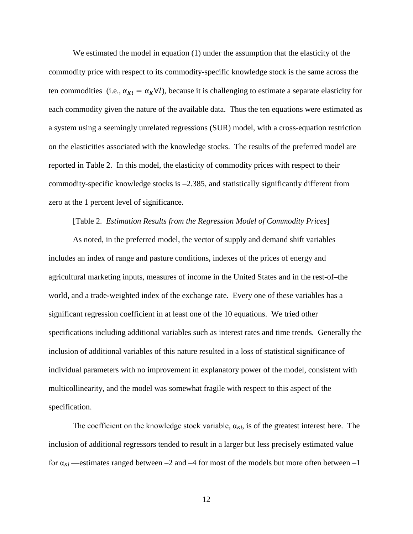We estimated the model in equation (1) under the assumption that the elasticity of the commodity price with respect to its commodity-specific knowledge stock is the same across the ten commodities (i.e.,  $\alpha_{Kl} = \alpha_K \forall l$ ), because it is challenging to estimate a separate elasticity for each commodity given the nature of the available data. Thus the ten equations were estimated as a system using a seemingly unrelated regressions (SUR) model, with a cross-equation restriction on the elasticities associated with the knowledge stocks. The results of the preferred model are reported in Table 2. In this model, the elasticity of commodity prices with respect to their commodity-specific knowledge stocks is –2.385, and statistically significantly different from zero at the 1 percent level of significance.

### [Table 2. *Estimation Results from the Regression Model of Commodity Prices*]

As noted, in the preferred model, the vector of supply and demand shift variables includes an index of range and pasture conditions, indexes of the prices of energy and agricultural marketing inputs, measures of income in the United States and in the rest-of–the world, and a trade-weighted index of the exchange rate*.* Every one of these variables has a significant regression coefficient in at least one of the 10 equations. We tried other specifications including additional variables such as interest rates and time trends. Generally the inclusion of additional variables of this nature resulted in a loss of statistical significance of individual parameters with no improvement in explanatory power of the model, consistent with multicollinearity, and the model was somewhat fragile with respect to this aspect of the specification.

The coefficient on the knowledge stock variable,  $\alpha_{Kl}$ , is of the greatest interest here. The inclusion of additional regressors tended to result in a larger but less precisely estimated value for  $\alpha_{\text{Kl}}$  —estimates ranged between –2 and –4 for most of the models but more often between –1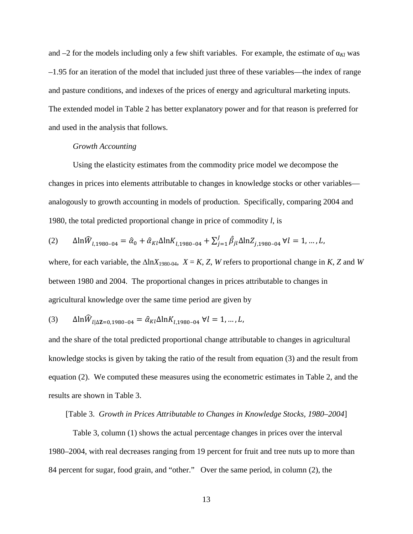and  $-2$  for the models including only a few shift variables. For example, the estimate of  $\alpha_{Kl}$  was –1.95 for an iteration of the model that included just three of these variables—the index of range and pasture conditions, and indexes of the prices of energy and agricultural marketing inputs. The extended model in Table 2 has better explanatory power and for that reason is preferred for and used in the analysis that follows.

### *Growth Accounting*

Using the elasticity estimates from the commodity price model we decompose the changes in prices into elements attributable to changes in knowledge stocks or other variables analogously to growth accounting in models of production. Specifically, comparing 2004 and 1980, the total predicted proportional change in price of commodity *l*, is

$$
(2) \qquad \Delta \ln \widehat{W}_{l,1980-04} = \widehat{\alpha}_0 + \widehat{\alpha}_{kl} \Delta \ln K_{l,1980-04} + \sum_{j=1}^{J} \widehat{\beta}_{jl} \Delta \ln Z_{j,1980-04} \ \forall l = 1, \dots, L,
$$

where, for each variable, the  $\Delta \ln X_{1980-04}$ ,  $X = K$ , *Z*, *W* refers to proportional change in *K*, *Z* and *W* between 1980 and 2004. The proportional changes in prices attributable to changes in agricultural knowledge over the same time period are given by

(3) 
$$
\Delta \ln \widehat{W}_{l|\Delta Z=0,1980-04} = \widehat{\alpha}_{Kl} \Delta \ln K_{l,1980-04} \ \forall l = 1,...,L,
$$

and the share of the total predicted proportional change attributable to changes in agricultural knowledge stocks is given by taking the ratio of the result from equation (3) and the result from equation (2). We computed these measures using the econometric estimates in Table 2, and the results are shown in Table 3.

### [Table 3. *Growth in Prices Attributable to Changes in Knowledge Stocks, 1980–2004*]

Table 3, column (1) shows the actual percentage changes in prices over the interval 1980–2004, with real decreases ranging from 19 percent for fruit and tree nuts up to more than 84 percent for sugar, food grain, and "other." Over the same period, in column (2), the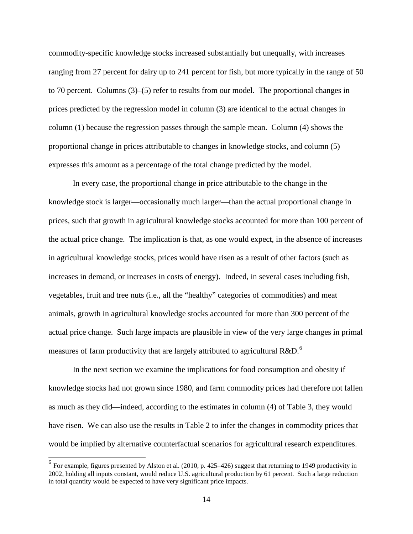commodity-specific knowledge stocks increased substantially but unequally, with increases ranging from 27 percent for dairy up to 241 percent for fish, but more typically in the range of 50 to 70 percent. Columns (3)–(5) refer to results from our model. The proportional changes in prices predicted by the regression model in column (3) are identical to the actual changes in column (1) because the regression passes through the sample mean. Column (4) shows the proportional change in prices attributable to changes in knowledge stocks, and column (5) expresses this amount as a percentage of the total change predicted by the model.

In every case, the proportional change in price attributable to the change in the knowledge stock is larger—occasionally much larger—than the actual proportional change in prices, such that growth in agricultural knowledge stocks accounted for more than 100 percent of the actual price change. The implication is that, as one would expect, in the absence of increases in agricultural knowledge stocks, prices would have risen as a result of other factors (such as increases in demand, or increases in costs of energy). Indeed, in several cases including fish, vegetables, fruit and tree nuts (i.e., all the "healthy" categories of commodities) and meat animals, growth in agricultural knowledge stocks accounted for more than 300 percent of the actual price change. Such large impacts are plausible in view of the very large changes in primal measures of farm productivity that are largely attributed to agricultural  $R&D$ <sup>[6](#page-14-0)</sup>

In the next section we examine the implications for food consumption and obesity if knowledge stocks had not grown since 1980, and farm commodity prices had therefore not fallen as much as they did—indeed, according to the estimates in column (4) of Table 3, they would have risen. We can also use the results in Table 2 to infer the changes in commodity prices that would be implied by alternative counterfactual scenarios for agricultural research expenditures.

<span id="page-14-0"></span> $<sup>6</sup>$  For example, figures presented by Alston et al. (2010, p. 425–426) suggest that returning to 1949 productivity in</sup> 2002, holding all inputs constant, would reduce U.S. agricultural production by 61 percent. Such a large reduction in total quantity would be expected to have very significant price impacts.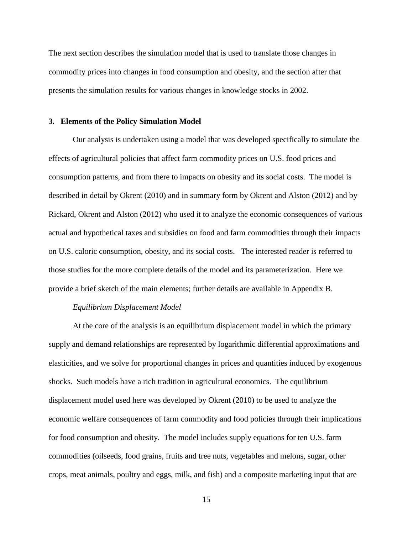The next section describes the simulation model that is used to translate those changes in commodity prices into changes in food consumption and obesity, and the section after that presents the simulation results for various changes in knowledge stocks in 2002.

### **3. Elements of the Policy Simulation Model**

Our analysis is undertaken using a model that was developed specifically to simulate the effects of agricultural policies that affect farm commodity prices on U.S. food prices and consumption patterns, and from there to impacts on obesity and its social costs. The model is described in detail by Okrent (2010) and in summary form by Okrent and Alston (2012) and by Rickard, Okrent and Alston (2012) who used it to analyze the economic consequences of various actual and hypothetical taxes and subsidies on food and farm commodities through their impacts on U.S. caloric consumption, obesity, and its social costs. The interested reader is referred to those studies for the more complete details of the model and its parameterization. Here we provide a brief sketch of the main elements; further details are available in Appendix B.

### *Equilibrium Displacement Model*

At the core of the analysis is an equilibrium displacement model in which the primary supply and demand relationships are represented by logarithmic differential approximations and elasticities, and we solve for proportional changes in prices and quantities induced by exogenous shocks. Such models have a rich tradition in agricultural economics. The equilibrium displacement model used here was developed by Okrent (2010) to be used to analyze the economic welfare consequences of farm commodity and food policies through their implications for food consumption and obesity. The model includes supply equations for ten U.S. farm commodities (oilseeds, food grains, fruits and tree nuts, vegetables and melons, sugar, other crops, meat animals, poultry and eggs, milk, and fish) and a composite marketing input that are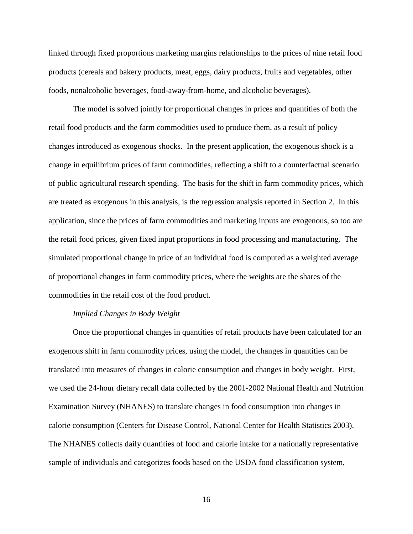linked through fixed proportions marketing margins relationships to the prices of nine retail food products (cereals and bakery products, meat, eggs, dairy products, fruits and vegetables, other foods, nonalcoholic beverages, food-away-from-home, and alcoholic beverages).

The model is solved jointly for proportional changes in prices and quantities of both the retail food products and the farm commodities used to produce them, as a result of policy changes introduced as exogenous shocks. In the present application, the exogenous shock is a change in equilibrium prices of farm commodities, reflecting a shift to a counterfactual scenario of public agricultural research spending. The basis for the shift in farm commodity prices, which are treated as exogenous in this analysis, is the regression analysis reported in Section 2. In this application, since the prices of farm commodities and marketing inputs are exogenous, so too are the retail food prices, given fixed input proportions in food processing and manufacturing. The simulated proportional change in price of an individual food is computed as a weighted average of proportional changes in farm commodity prices, where the weights are the shares of the commodities in the retail cost of the food product.

### *Implied Changes in Body Weight*

Once the proportional changes in quantities of retail products have been calculated for an exogenous shift in farm commodity prices, using the model, the changes in quantities can be translated into measures of changes in calorie consumption and changes in body weight. First, we used the 24-hour dietary recall data collected by the 2001-2002 National Health and Nutrition Examination Survey (NHANES) to translate changes in food consumption into changes in calorie consumption (Centers for Disease Control, National Center for Health Statistics 2003). The NHANES collects daily quantities of food and calorie intake for a nationally representative sample of individuals and categorizes foods based on the USDA food classification system,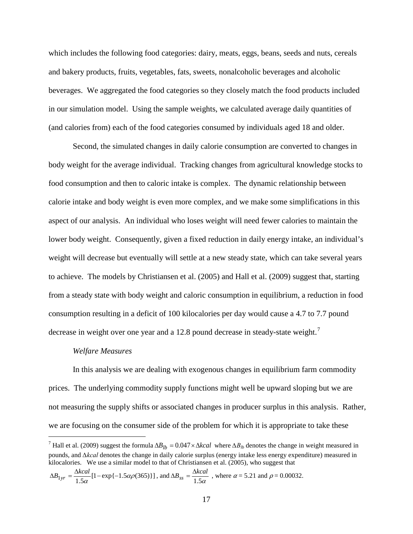which includes the following food categories: dairy, meats, eggs, beans, seeds and nuts, cereals and bakery products, fruits, vegetables, fats, sweets, nonalcoholic beverages and alcoholic beverages. We aggregated the food categories so they closely match the food products included in our simulation model. Using the sample weights, we calculated average daily quantities of (and calories from) each of the food categories consumed by individuals aged 18 and older.

Second, the simulated changes in daily calorie consumption are converted to changes in body weight for the average individual. Tracking changes from agricultural knowledge stocks to food consumption and then to caloric intake is complex. The dynamic relationship between calorie intake and body weight is even more complex, and we make some simplifications in this aspect of our analysis. An individual who loses weight will need fewer calories to maintain the lower body weight. Consequently, given a fixed reduction in daily energy intake, an individual's weight will decrease but eventually will settle at a new steady state, which can take several years to achieve. The models by Christiansen et al. (2005) and Hall et al. (2009) suggest that, starting from a steady state with body weight and caloric consumption in equilibrium, a reduction in food consumption resulting in a deficit of 100 kilocalories per day would cause a 4.7 to 7.7 pound decrease in weight over one year and a 12.8 pound decrease in steady-state weight.<sup>[7](#page-17-0)</sup>

### *Welfare Measures*

In this analysis we are dealing with exogenous changes in equilibrium farm commodity prices. The underlying commodity supply functions might well be upward sloping but we are not measuring the supply shifts or associated changes in producer surplus in this analysis. Rather, we are focusing on the consumer side of the problem for which it is appropriate to take these

<span id="page-17-0"></span><sup>&</sup>lt;sup>7</sup> Hall et al. (2009) suggest the formula  $\Delta B_{1b} = 0.047 \times \Delta kcal$  where  $\Delta B_{1b}$  denotes the change in weight measured in pounds, and *∆kcal* denotes the change in daily calorie surplus (energy intake less energy expenditure) measured in kilocalories. We use a similar model to that of Christiansen et al. (2005), who suggest that

 $\Delta B_{1yr} = \frac{\Delta kcal}{1.5 \alpha} [1 - \exp\{-1.5 \alpha \rho (365)\}]$ , and  $\Delta B_{ss} = \frac{\Delta kcal}{1.5 \alpha}$ , where  $\alpha = 5.21$  and  $\rho = 0.00032$ .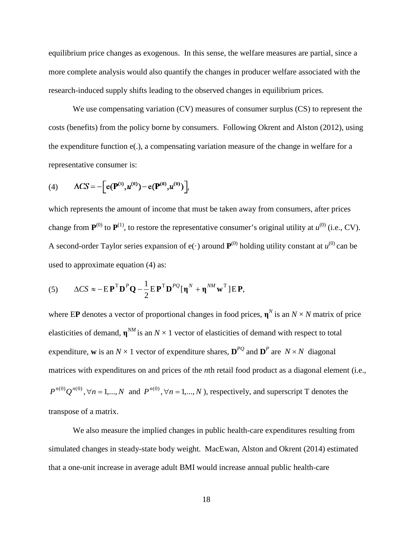equilibrium price changes as exogenous. In this sense, the welfare measures are partial, since a more complete analysis would also quantify the changes in producer welfare associated with the research-induced supply shifts leading to the observed changes in equilibrium prices.

We use compensating variation (CV) measures of consumer surplus (CS) to represent the costs (benefits) from the policy borne by consumers. Following Okrent and Alston (2012), using the expenditure function e(.), a compensating variation measure of the change in welfare for a representative consumer is:

(4) 
$$
\Delta CS = -\Big[e(\mathbf{P}^{(1)}, u^{(0)}) - e(\mathbf{P}^{(0)}, u^{(0)})\Big],
$$

which represents the amount of income that must be taken away from consumers, after prices change from  $\mathbf{P}^{(0)}$  to  $\mathbf{P}^{(1)}$ , to restore the representative consumer's original utility at  $u^{(0)}$  (i.e., CV). A second-order Taylor series expansion of  $e(\cdot)$  around  $P^{(0)}$  holding utility constant at  $u^{(0)}$  can be used to approximate equation (4) as:

(5) 
$$
\Delta CS \approx -E\mathbf{P}^{\mathrm{T}}\mathbf{D}^{P}\mathbf{Q} - \frac{1}{2}E\mathbf{P}^{\mathrm{T}}\mathbf{D}^{PQ}[\mathbf{\eta}^{N} + \mathbf{\eta}^{NM}\mathbf{w}^{\mathrm{T}}]E\mathbf{P},
$$

where EP denotes a vector of proportional changes in food prices,  $\mathbf{n}^N$  is an  $N \times N$  matrix of price elasticities of demand,  $\mathbf{n}^{M}$  is an  $N \times 1$  vector of elasticities of demand with respect to total expenditure, **w** is an  $N \times 1$  vector of expenditure shares,  $\mathbf{D}^{PQ}$  and  $\mathbf{D}^{P}$  are  $N \times N$  diagonal matrices with expenditures on and prices of the *n*th retail food product as a diagonal element (i.e.,  $P^{n(0)}Q^{n(0)}, \forall n = 1,..., N$  and  $P^{n(0)}, \forall n = 1,..., N$ ), respectively, and superscript T denotes the transpose of a matrix.

We also measure the implied changes in public health-care expenditures resulting from simulated changes in steady-state body weight. MacEwan, Alston and Okrent (2014) estimated that a one-unit increase in average adult BMI would increase annual public health-care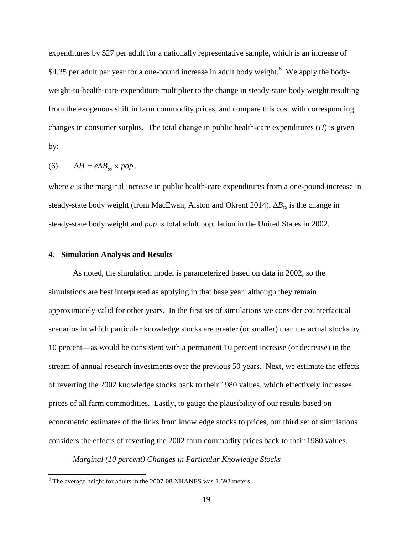expenditures by \$27 per adult for a nationally representative sample, which is an increase of \$4.35 per adult per year for a one-pound increase in adult body weight.<sup>[8](#page-19-0)</sup> We apply the bodyweight-to-health-care-expenditure multiplier to the change in steady-state body weight resulting from the exogenous shift in farm commodity prices, and compare this cost with corresponding changes in consumer surplus. The total change in public health-care expenditures (*H*) is given by:

$$
(6) \qquad \Delta H = e \Delta B_{ss} \times pop,
$$

where *e* is the marginal increase in public health-care expenditures from a one-pound increase in steady-state body weight (from MacEwan, Alston and Okrent 2014), ∆*B<sub>ss</sub>* is the change in steady-state body weight and *pop* is total adult population in the United States in 2002.

### **4. Simulation Analysis and Results**

As noted, the simulation model is parameterized based on data in 2002, so the simulations are best interpreted as applying in that base year, although they remain approximately valid for other years. In the first set of simulations we consider counterfactual scenarios in which particular knowledge stocks are greater (or smaller) than the actual stocks by 10 percent—as would be consistent with a permanent 10 percent increase (or decrease) in the stream of annual research investments over the previous 50 years. Next, we estimate the effects of reverting the 2002 knowledge stocks back to their 1980 values, which effectively increases prices of all farm commodities. Lastly, to gauge the plausibility of our results based on econometric estimates of the links from knowledge stocks to prices, our third set of simulations considers the effects of reverting the 2002 farm commodity prices back to their 1980 values.

*Marginal (10 percent) Changes in Particular Knowledge Stocks*

<span id="page-19-0"></span> <sup>8</sup> The average height for adults in the 2007-08 NHANES was 1.692 meters.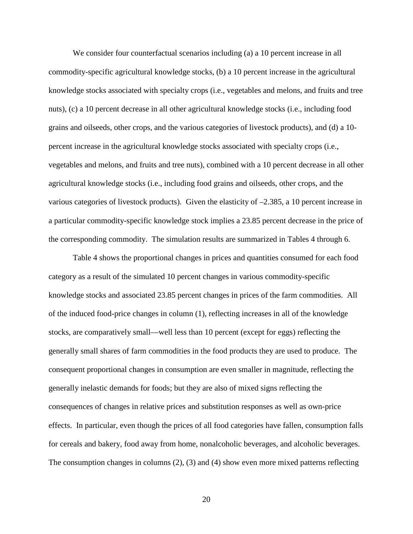We consider four counterfactual scenarios including (a) a 10 percent increase in all commodity-specific agricultural knowledge stocks, (b) a 10 percent increase in the agricultural knowledge stocks associated with specialty crops (i.e., vegetables and melons, and fruits and tree nuts), (c) a 10 percent decrease in all other agricultural knowledge stocks (i.e., including food grains and oilseeds, other crops, and the various categories of livestock products), and (d) a 10 percent increase in the agricultural knowledge stocks associated with specialty crops (i.e., vegetables and melons, and fruits and tree nuts), combined with a 10 percent decrease in all other agricultural knowledge stocks (i.e., including food grains and oilseeds, other crops, and the various categories of livestock products). Given the elasticity of  $-2.385$ , a 10 percent increase in a particular commodity-specific knowledge stock implies a 23.85 percent decrease in the price of the corresponding commodity. The simulation results are summarized in Tables 4 through 6.

Table 4 shows the proportional changes in prices and quantities consumed for each food category as a result of the simulated 10 percent changes in various commodity-specific knowledge stocks and associated 23.85 percent changes in prices of the farm commodities. All of the induced food-price changes in column (1), reflecting increases in all of the knowledge stocks, are comparatively small—well less than 10 percent (except for eggs) reflecting the generally small shares of farm commodities in the food products they are used to produce. The consequent proportional changes in consumption are even smaller in magnitude, reflecting the generally inelastic demands for foods; but they are also of mixed signs reflecting the consequences of changes in relative prices and substitution responses as well as own-price effects. In particular, even though the prices of all food categories have fallen, consumption falls for cereals and bakery, food away from home, nonalcoholic beverages, and alcoholic beverages. The consumption changes in columns (2), (3) and (4) show even more mixed patterns reflecting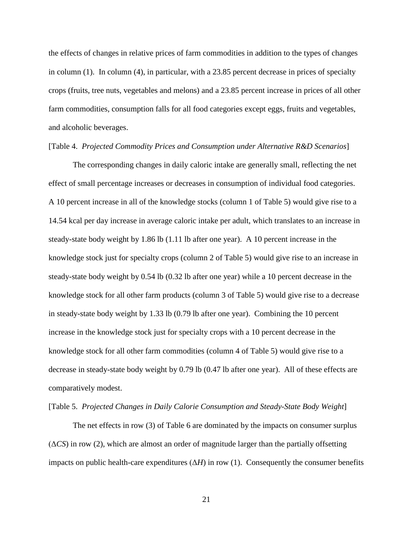the effects of changes in relative prices of farm commodities in addition to the types of changes in column (1). In column (4), in particular, with a 23.85 percent decrease in prices of specialty crops (fruits, tree nuts, vegetables and melons) and a 23.85 percent increase in prices of all other farm commodities, consumption falls for all food categories except eggs, fruits and vegetables, and alcoholic beverages.

### [Table 4. *Projected Commodity Prices and Consumption under Alternative R&D Scenarios*]

The corresponding changes in daily caloric intake are generally small, reflecting the net effect of small percentage increases or decreases in consumption of individual food categories. A 10 percent increase in all of the knowledge stocks (column 1 of Table 5) would give rise to a 14.54 kcal per day increase in average caloric intake per adult, which translates to an increase in steady-state body weight by 1.86 lb (1.11 lb after one year). A 10 percent increase in the knowledge stock just for specialty crops (column 2 of Table 5) would give rise to an increase in steady-state body weight by 0.54 lb (0.32 lb after one year) while a 10 percent decrease in the knowledge stock for all other farm products (column 3 of Table 5) would give rise to a decrease in steady-state body weight by 1.33 lb (0.79 lb after one year). Combining the 10 percent increase in the knowledge stock just for specialty crops with a 10 percent decrease in the knowledge stock for all other farm commodities (column 4 of Table 5) would give rise to a decrease in steady-state body weight by 0.79 lb (0.47 lb after one year). All of these effects are comparatively modest.

### [Table 5. *Projected Changes in Daily Calorie Consumption and Steady-State Body Weight*]

The net effects in row (3) of Table 6 are dominated by the impacts on consumer surplus (Δ*CS*) in row (2), which are almost an order of magnitude larger than the partially offsetting impacts on public health-care expenditures  $(\Delta H)$  in row (1). Consequently the consumer benefits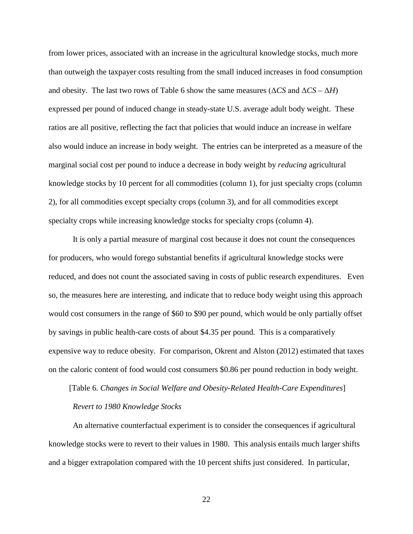from lower prices, associated with an increase in the agricultural knowledge stocks, much more than outweigh the taxpayer costs resulting from the small induced increases in food consumption and obesity. The last two rows of Table 6 show the same measures ( $\Delta CS$  and  $\Delta CS - \Delta H$ ) expressed per pound of induced change in steady-state U.S. average adult body weight. These ratios are all positive, reflecting the fact that policies that would induce an increase in welfare also would induce an increase in body weight. The entries can be interpreted as a measure of the marginal social cost per pound to induce a decrease in body weight by *reducing* agricultural knowledge stocks by 10 percent for all commodities (column 1), for just specialty crops (column 2), for all commodities except specialty crops (column 3), and for all commodities except specialty crops while increasing knowledge stocks for specialty crops (column 4).

It is only a partial measure of marginal cost because it does not count the consequences for producers, who would forego substantial benefits if agricultural knowledge stocks were reduced, and does not count the associated saving in costs of public research expenditures. Even so, the measures here are interesting, and indicate that to reduce body weight using this approach would cost consumers in the range of \$60 to \$90 per pound, which would be only partially offset by savings in public health-care costs of about \$4.35 per pound. This is a comparatively expensive way to reduce obesity. For comparison, Okrent and Alston (2012) estimated that taxes on the caloric content of food would cost consumers \$0.86 per pound reduction in body weight.

# [Table 6. *Changes in Social Welfare and Obesity-Related Health-Care Expenditures*] *Revert to 1980 Knowledge Stocks*

An alternative counterfactual experiment is to consider the consequences if agricultural knowledge stocks were to revert to their values in 1980. This analysis entails much larger shifts and a bigger extrapolation compared with the 10 percent shifts just considered. In particular,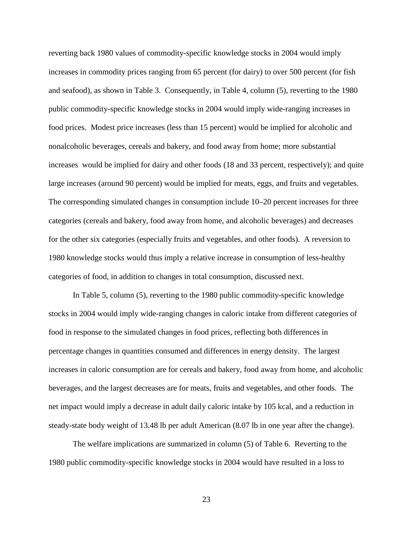reverting back 1980 values of commodity-specific knowledge stocks in 2004 would imply increases in commodity prices ranging from 65 percent (for dairy) to over 500 percent (for fish and seafood), as shown in Table 3. Consequently, in Table 4, column (5), reverting to the 1980 public commodity-specific knowledge stocks in 2004 would imply wide-ranging increases in food prices. Modest price increases (less than 15 percent) would be implied for alcoholic and nonalcoholic beverages, cereals and bakery, and food away from home; more substantial increases would be implied for dairy and other foods (18 and 33 percent, respectively); and quite large increases (around 90 percent) would be implied for meats, eggs, and fruits and vegetables. The corresponding simulated changes in consumption include 10–20 percent increases for three categories (cereals and bakery, food away from home, and alcoholic beverages) and decreases for the other six categories (especially fruits and vegetables, and other foods). A reversion to 1980 knowledge stocks would thus imply a relative increase in consumption of less-healthy categories of food, in addition to changes in total consumption, discussed next.

In Table 5, column (5), reverting to the 1980 public commodity-specific knowledge stocks in 2004 would imply wide-ranging changes in caloric intake from different categories of food in response to the simulated changes in food prices, reflecting both differences in percentage changes in quantities consumed and differences in energy density. The largest increases in caloric consumption are for cereals and bakery, food away from home, and alcoholic beverages, and the largest decreases are for meats, fruits and vegetables, and other foods. The net impact would imply a decrease in adult daily caloric intake by 105 kcal, and a reduction in steady-state body weight of 13.48 lb per adult American (8.07 lb in one year after the change).

The welfare implications are summarized in column (5) of Table 6. Reverting to the 1980 public commodity-specific knowledge stocks in 2004 would have resulted in a loss to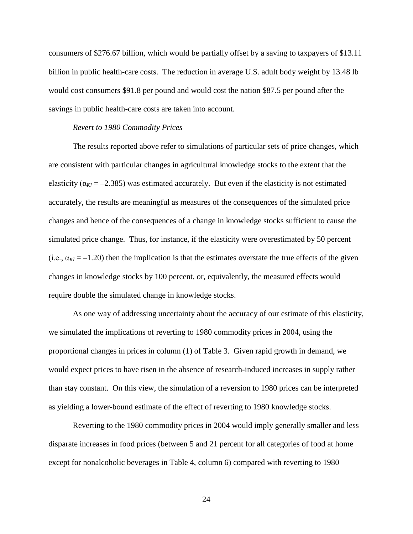consumers of \$276.67 billion, which would be partially offset by a saving to taxpayers of \$13.11 billion in public health-care costs. The reduction in average U.S. adult body weight by 13.48 lb would cost consumers \$91.8 per pound and would cost the nation \$87.5 per pound after the savings in public health-care costs are taken into account.

### *Revert to 1980 Commodity Prices*

The results reported above refer to simulations of particular sets of price changes, which are consistent with particular changes in agricultural knowledge stocks to the extent that the elasticity ( $\alpha_{\text{K1}} = -2.385$ ) was estimated accurately. But even if the elasticity is not estimated accurately, the results are meaningful as measures of the consequences of the simulated price changes and hence of the consequences of a change in knowledge stocks sufficient to cause the simulated price change. Thus, for instance, if the elasticity were overestimated by 50 percent (i.e.,  $\alpha_{Kl}$  = –1.20) then the implication is that the estimates overstate the true effects of the given changes in knowledge stocks by 100 percent, or, equivalently, the measured effects would require double the simulated change in knowledge stocks.

As one way of addressing uncertainty about the accuracy of our estimate of this elasticity, we simulated the implications of reverting to 1980 commodity prices in 2004, using the proportional changes in prices in column (1) of Table 3. Given rapid growth in demand, we would expect prices to have risen in the absence of research-induced increases in supply rather than stay constant. On this view, the simulation of a reversion to 1980 prices can be interpreted as yielding a lower-bound estimate of the effect of reverting to 1980 knowledge stocks.

Reverting to the 1980 commodity prices in 2004 would imply generally smaller and less disparate increases in food prices (between 5 and 21 percent for all categories of food at home except for nonalcoholic beverages in Table 4, column 6) compared with reverting to 1980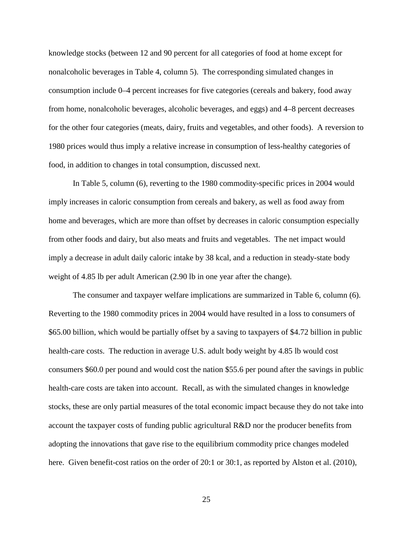knowledge stocks (between 12 and 90 percent for all categories of food at home except for nonalcoholic beverages in Table 4, column 5). The corresponding simulated changes in consumption include 0–4 percent increases for five categories (cereals and bakery, food away from home, nonalcoholic beverages, alcoholic beverages, and eggs) and 4–8 percent decreases for the other four categories (meats, dairy, fruits and vegetables, and other foods). A reversion to 1980 prices would thus imply a relative increase in consumption of less-healthy categories of food, in addition to changes in total consumption, discussed next.

In Table 5, column (6), reverting to the 1980 commodity-specific prices in 2004 would imply increases in caloric consumption from cereals and bakery, as well as food away from home and beverages, which are more than offset by decreases in caloric consumption especially from other foods and dairy, but also meats and fruits and vegetables. The net impact would imply a decrease in adult daily caloric intake by 38 kcal, and a reduction in steady-state body weight of 4.85 lb per adult American (2.90 lb in one year after the change).

The consumer and taxpayer welfare implications are summarized in Table 6, column (6). Reverting to the 1980 commodity prices in 2004 would have resulted in a loss to consumers of \$65.00 billion, which would be partially offset by a saving to taxpayers of \$4.72 billion in public health-care costs. The reduction in average U.S. adult body weight by 4.85 lb would cost consumers \$60.0 per pound and would cost the nation \$55.6 per pound after the savings in public health-care costs are taken into account. Recall, as with the simulated changes in knowledge stocks, these are only partial measures of the total economic impact because they do not take into account the taxpayer costs of funding public agricultural R&D nor the producer benefits from adopting the innovations that gave rise to the equilibrium commodity price changes modeled here. Given benefit-cost ratios on the order of 20:1 or 30:1, as reported by Alston et al. (2010),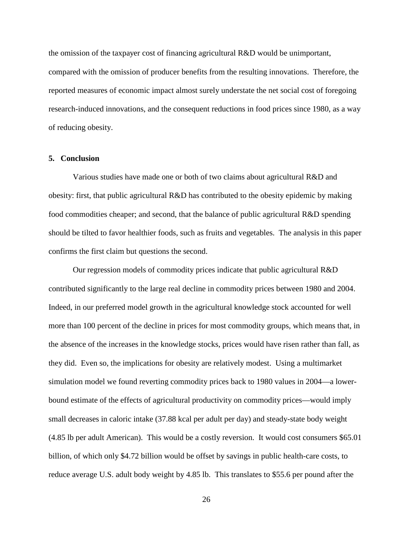the omission of the taxpayer cost of financing agricultural R&D would be unimportant, compared with the omission of producer benefits from the resulting innovations. Therefore, the reported measures of economic impact almost surely understate the net social cost of foregoing research-induced innovations, and the consequent reductions in food prices since 1980, as a way of reducing obesity.

### **5. Conclusion**

Various studies have made one or both of two claims about agricultural R&D and obesity: first, that public agricultural R&D has contributed to the obesity epidemic by making food commodities cheaper; and second, that the balance of public agricultural R&D spending should be tilted to favor healthier foods, such as fruits and vegetables. The analysis in this paper confirms the first claim but questions the second.

Our regression models of commodity prices indicate that public agricultural R&D contributed significantly to the large real decline in commodity prices between 1980 and 2004. Indeed, in our preferred model growth in the agricultural knowledge stock accounted for well more than 100 percent of the decline in prices for most commodity groups, which means that, in the absence of the increases in the knowledge stocks, prices would have risen rather than fall, as they did. Even so, the implications for obesity are relatively modest. Using a multimarket simulation model we found reverting commodity prices back to 1980 values in 2004—a lowerbound estimate of the effects of agricultural productivity on commodity prices—would imply small decreases in caloric intake (37.88 kcal per adult per day) and steady-state body weight (4.85 lb per adult American). This would be a costly reversion. It would cost consumers \$65.01 billion, of which only \$4.72 billion would be offset by savings in public health-care costs, to reduce average U.S. adult body weight by 4.85 lb. This translates to \$55.6 per pound after the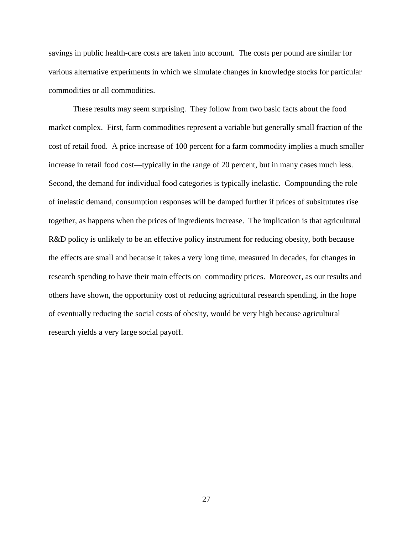savings in public health-care costs are taken into account. The costs per pound are similar for various alternative experiments in which we simulate changes in knowledge stocks for particular commodities or all commodities.

These results may seem surprising. They follow from two basic facts about the food market complex. First, farm commodities represent a variable but generally small fraction of the cost of retail food. A price increase of 100 percent for a farm commodity implies a much smaller increase in retail food cost—typically in the range of 20 percent, but in many cases much less. Second, the demand for individual food categories is typically inelastic. Compounding the role of inelastic demand, consumption responses will be damped further if prices of subsitututes rise together, as happens when the prices of ingredients increase. The implication is that agricultural R&D policy is unlikely to be an effective policy instrument for reducing obesity, both because the effects are small and because it takes a very long time, measured in decades, for changes in research spending to have their main effects on commodity prices. Moreover, as our results and others have shown, the opportunity cost of reducing agricultural research spending, in the hope of eventually reducing the social costs of obesity, would be very high because agricultural research yields a very large social payoff.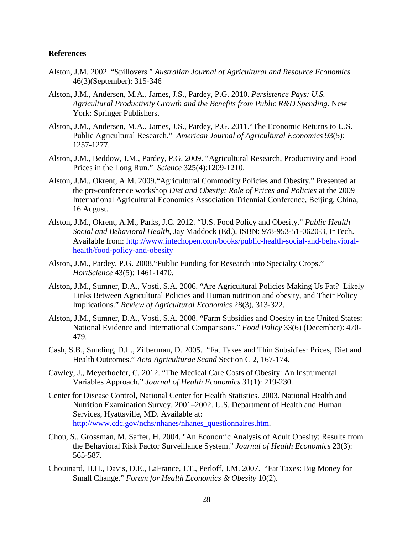### **References**

- Alston, J.M. 2002. "Spillovers." *Australian Journal of Agricultural and Resource Economics* 46(3)(September): 315-346
- Alston, J.M., Andersen, M.A., James, J.S., Pardey, P.G. 2010. *Persistence Pays: U.S. Agricultural Productivity Growth and the Benefits from Public R&D Spending*. New York: Springer Publishers.
- Alston, J.M., Andersen, M.A., James, J.S., Pardey, P.G. 2011."The Economic Returns to U.S. Public Agricultural Research." *American Journal of Agricultural Economics* 93(5): 1257-1277.
- Alston, J.M., Beddow, J.M., Pardey, P.G. 2009. "Agricultural Research, Productivity and Food Prices in the Long Run." *Science* 325(4):1209-1210.
- Alston, J.M., Okrent, A.M. 2009."Agricultural Commodity Policies and Obesity." Presented at the pre-conference workshop *Diet and Obesity: Role of Prices and Policies* at the 2009 International Agricultural Economics Association Triennial Conference, Beijing, China, 16 August.
- Alston, J.M., Okrent, A.M., Parks, J.C. 2012. "U.S. Food Policy and Obesity." *Public Health – Social and Behavioral Health*, Jay Maddock (Ed.), ISBN: 978-953-51-0620-3, InTech. Available from: [http://www.intechopen.com/books/public-health-social-and-behavioral](http://www.intechopen.com/books/public-health-social-and-behavioral-health/food-policy-and-obesity)[health/food-policy-and-obesity](http://www.intechopen.com/books/public-health-social-and-behavioral-health/food-policy-and-obesity)
- Alston, J.M., Pardey, P.G. 2008."Public Funding for Research into Specialty Crops." *HortScience* 43(5): 1461-1470.
- Alston, J.M., Sumner, D.A., Vosti, S.A. 2006. "Are Agricultural Policies Making Us Fat? Likely Links Between Agricultural Policies and Human nutrition and obesity, and Their Policy Implications." *Review of Agricultural Economics* 28(3), 313-322.
- Alston, J.M., Sumner, D.A., Vosti, S.A. 2008. "Farm Subsidies and Obesity in the United States: National Evidence and International Comparisons." *Food Policy* 33(6) (December): 470- 479.
- Cash, S.B., Sunding, D.L., Zilberman, D. 2005. "Fat Taxes and Thin Subsidies: Prices, Diet and Health Outcomes." *Acta Agriculturae Scand* Section C 2, 167-174.
- Cawley, J., Meyerhoefer, C. 2012. "The Medical Care Costs of Obesity: An Instrumental Variables Approach." *Journal of Health Economics* 31(1): 219-230.
- Center for Disease Control, National Center for Health Statistics. 2003. National Health and Nutrition Examination Survey. 2001–2002. U.S. Department of Health and Human Services, Hyattsville, MD. Available at: [http://www.cdc.gov/nchs/nhanes/nhanes\\_questionnaires.htm.](http://www.cdc.gov/nchs/nhanes/nhanes_questionnaires.htm)
- Chou, S., Grossman, M. Saffer, H. 2004. "An Economic Analysis of Adult Obesity: Results from the Behavioral Risk Factor Surveillance System." *Journal of Health Economics* 23(3): 565-587.
- Chouinard, H.H., Davis, D.E., LaFrance, J.T., Perloff, J.M. 2007. "Fat Taxes: Big Money for Small Change." *Forum for Health Economics & Obesity* 10(2).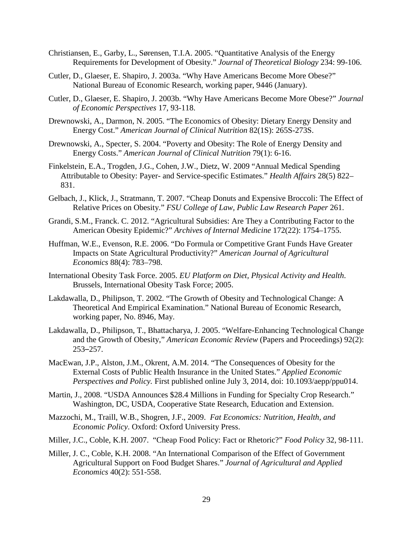- Christiansen, E., Garby, L., Sørensen, T.I.A. 2005. "Quantitative Analysis of the Energy Requirements for Development of Obesity." *Journal of Theoretical Biology* 234: 99-106.
- Cutler, D., Glaeser, E. Shapiro, J. 2003a. "Why Have Americans Become More Obese?" National Bureau of Economic Research, working paper, 9446 (January).
- Cutler, D., Glaeser, E. Shapiro, J. 2003b. "Why Have Americans Become More Obese?" *Journal of Economic Perspectives* 17, 93-118.
- Drewnowski, A., Darmon, N. 2005. "The Economics of Obesity: Dietary Energy Density and Energy Cost." *American Journal of Clinical Nutrition* 82(1S): 265S-273S.
- Drewnowski, A., Specter, S. 2004. "Poverty and Obesity: The Role of Energy Density and Energy Costs." *American Journal of Clinical Nutrition* 79(1): 6-16.
- Finkelstein, E.A., Trogden, J.G., Cohen, J.W., Dietz, W. 2009 "Annual Medical Spending Attributable to Obesity: Payer- and Service-specific Estimates." *Health Affairs* 28(5) 822– 831.
- Gelbach, J., Klick, J., Stratmann, T. 2007. "Cheap Donuts and Expensive Broccoli: The Effect of Relative Prices on Obesity." *FSU College of Law, Public Law Research Paper* 261.
- Grandi, S.M., Franck. C. 2012. "Agricultural Subsidies: Are They a Contributing Factor to the American Obesity Epidemic?" *Archives of Internal Medicine* 172(22): 1754–1755.
- Huffman, W.E., Evenson, R.E. 2006. "Do Formula or Competitive Grant Funds Have Greater Impacts on State Agricultural Productivity?" *American Journal of Agricultural Economics* 88(4): 783–798.
- International Obesity Task Force. 2005. *EU Platform on Diet, Physical Activity and Health*. Brussels, International Obesity Task Force; 2005.
- Lakdawalla, D., Philipson, T. 2002. "The Growth of Obesity and Technological Change: A Theoretical And Empirical Examination." National Bureau of Economic Research, working paper, No. 8946, May.
- Lakdawalla, D., Philipson, T., Bhattacharya, J. 2005. "Welfare-Enhancing Technological Change and the Growth of Obesity," *American Economic Review* (Papers and Proceedings) 92(2): 253–257.
- MacEwan, J.P., Alston, J.M., Okrent, A.M. 2014. "The Consequences of Obesity for the External Costs of Public Health Insurance in the United States." *Applied Economic Perspectives and Policy.* First published online July 3, 2014, doi: 10.1093/aepp/ppu014.
- Martin, J., 2008. "USDA Announces \$28.4 Millions in Funding for Specialty Crop Research." Washington, DC, USDA, Cooperative State Research, Education and Extension.
- Mazzochi, M., Traill, W.B., Shogren, J.F., 2009. *Fat Economics: Nutrition, Health, and Economic Policy*. Oxford: Oxford University Press.
- Miller, J.C., Coble, K.H. 2007. "Cheap Food Policy: Fact or Rhetoric?" *Food Policy* 32, 98-111.
- Miller, J. C., Coble, K.H. 2008. "An International Comparison of the Effect of Government Agricultural Support on Food Budget Shares." *Journal of Agricultural and Applied Economics* 40(2): 551-558.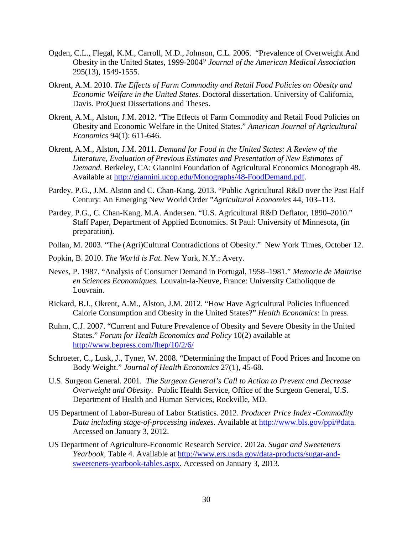- Ogden, C.L., Flegal, K.M., Carroll, M.D., Johnson, C.L. 2006. "Prevalence of Overweight And Obesity in the United States, 1999-2004" *Journal of the American Medical Association* 295(13), 1549-1555.
- Okrent, A.M. 2010. *The Effects of Farm Commodity and Retail Food Policies on Obesity and Economic Welfare in the United States.* Doctoral dissertation. University of California, Davis. ProQuest Dissertations and Theses.
- Okrent, A.M., Alston, J.M. 2012. "The Effects of Farm Commodity and Retail Food Policies on Obesity and Economic Welfare in the United States." *American Journal of Agricultural Economics* 94(1): 611-646.
- Okrent, A.M., Alston, J.M. 2011. *Demand for Food in the United States: A Review of the Literature, Evaluation of Previous Estimates and Presentation of New Estimates of Demand.* Berkeley, CA: Giannini Foundation of Agricultural Economics Monograph 48. Available at [http://giannini.ucop.edu/Monographs/48-FoodDemand.pdf.](http://giannini.ucop.edu/Monographs/48-FoodDemand.pdf)
- Pardey, P.G., J.M. Alston and C. Chan-Kang. 2013. "Public Agricultural R&D over the Past Half Century: An Emerging New World Order "*Agricultural Economics* 44, 103–113.
- Pardey, P.G., C. Chan-Kang, M.A. Andersen. "U.S. Agricultural R&D Deflator, 1890–2010." Staff Paper, Department of Applied Economics. St Paul: University of Minnesota, (in preparation).
- Pollan, M. 2003. "The (Agri)Cultural Contradictions of Obesity." New York Times, October 12.
- Popkin, B. 2010. *The World is Fat.* New York, N.Y.: Avery.
- Neves, P. 1987. "Analysis of Consumer Demand in Portugal, 1958–1981." *Memorie de Maitrise en Sciences Economiques.* Louvain-la-Neuve, France: University Catholiqque de Louvrain.
- Rickard, B.J., Okrent, A.M., Alston, J.M. 2012. "How Have Agricultural Policies Influenced Calorie Consumption and Obesity in the United States?" *Health Economics*: in press.
- Ruhm, C.J. 2007. "Current and Future Prevalence of Obesity and Severe Obesity in the United States." *Forum for Health Economics and Policy* 10(2) available at <http://www.bepress.com/fhep/10/2/6/>
- Schroeter, C., Lusk, J., Tyner, W. 2008. "Determining the Impact of Food Prices and Income on Body Weight." *Journal of Health Economics* 27(1), 45-68.
- U.S. Surgeon General. 2001. *The Surgeon General's Call to Action to Prevent and Decrease Overweight and Obesity.* Public Health Service, Office of the Surgeon General, U.S. Department of Health and Human Services, Rockville, MD.
- US Department of Labor-Bureau of Labor Statistics. 2012. *Producer Price Index -Commodity Data including stage-of-processing indexes.* Available at [http://www.bls.gov/ppi/#data.](http://www.bls.gov/ppi/#data) Accessed on January 3, 2012.
- US Department of Agriculture-Economic Research Service. 2012a. *Sugar and Sweeteners Yearbook*, Table 4. Available at [http://www.ers.usda.gov/data-products/sugar-and](http://www.ers.usda.gov/data-products/sugar-and-sweeteners-yearbook-tables.aspx)[sweeteners-yearbook-tables.aspx.](http://www.ers.usda.gov/data-products/sugar-and-sweeteners-yearbook-tables.aspx) Accessed on January 3, 2013.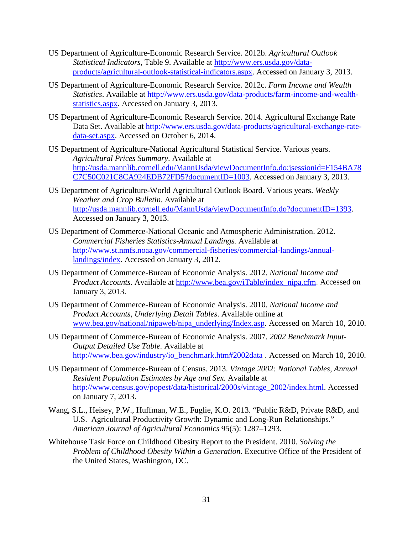- US Department of Agriculture-Economic Research Service. 2012b. *Agricultural Outlook Statistical Indicators*, Table 9. Available at [http://www.ers.usda.gov/data](http://www.ers.usda.gov/data-products/agricultural-outlook-statistical-indicators.aspx)[products/agricultural-outlook-statistical-indicators.aspx.](http://www.ers.usda.gov/data-products/agricultural-outlook-statistical-indicators.aspx) Accessed on January 3, 2013.
- US Department of Agriculture-Economic Research Service. 2012c. *Farm Income and Wealth Statistics*. Available at [http://www.ers.usda.gov/data-products/farm-income-and-wealth](http://www.ers.usda.gov/data-products/farm-income-and-wealth-statistics.aspx)[statistics.aspx.](http://www.ers.usda.gov/data-products/farm-income-and-wealth-statistics.aspx) Accessed on January 3, 2013.
- US Department of Agriculture-Economic Research Service. 2014. Agricultural Exchange Rate Data Set. Available at [http://www.ers.usda.gov/data-products/agricultural-exchange-rate](http://www.ers.usda.gov/data-products/agricultural-exchange-rate-data-set.aspx)[data-set.aspx.](http://www.ers.usda.gov/data-products/agricultural-exchange-rate-data-set.aspx) Accessed on October 6, 2014.
- US Department of Agriculture-National Agricultural Statistical Service. Various years. *Agricultural Prices Summary*. Available at [http://usda.mannlib.cornell.edu/MannUsda/viewDocumentInfo.do;jsessionid=F154BA78](http://usda.mannlib.cornell.edu/MannUsda/viewDocumentInfo.do;jsessionid=F154BA78C7C50C021C8CA924EDB72FD5?documentID=1003) [C7C50C021C8CA924EDB72FD5?documentID=1003.](http://usda.mannlib.cornell.edu/MannUsda/viewDocumentInfo.do;jsessionid=F154BA78C7C50C021C8CA924EDB72FD5?documentID=1003) Accessed on January 3, 2013.
- US Department of Agriculture-World Agricultural Outlook Board. Various years. *Weekly Weather and Crop Bulletin*. Available at [http://usda.mannlib.cornell.edu/MannUsda/viewDocumentInfo.do?documentID=1393.](http://usda.mannlib.cornell.edu/MannUsda/viewDocumentInfo.do?documentID=1393) Accessed on January 3, 2013.
- US Department of Commerce-National Oceanic and Atmospheric Administration. 2012. *Commercial Fisheries Statistics-Annual Landings.* Available at [http://www.st.nmfs.noaa.gov/commercial-fisheries/commercial-landings/annual](http://www.st.nmfs.noaa.gov/commercial-fisheries/commercial-landings/annual-landings/index)[landings/index.](http://www.st.nmfs.noaa.gov/commercial-fisheries/commercial-landings/annual-landings/index) Accessed on January 3, 2012.
- US Department of Commerce-Bureau of Economic Analysis. 2012. *National Income and Product Accounts.* Available at [http://www.bea.gov/iTable/index\\_nipa.cfm.](http://www.bea.gov/iTable/index_nipa.cfm) Accessed on January 3, 2013.
- US Department of Commerce-Bureau of Economic Analysis. 2010. *National Income and Product Accounts, Underlying Detail Tables*. Available online at www.bea.gov/national/nipaweb/nipa\_underlying/Index.asp. Accessed on March 10, 2010.
- US Department of Commerce-Bureau of Economic Analysis. 2007. *2002 Benchmark Input-Output Detailed Use Table.* Available at [http://www.bea.gov/industry/io\\_benchmark.htm#2002data](http://www.bea.gov/industry/io_benchmark.htm#2002data) . Accessed on March 10, 2010.
- US Department of Commerce-Bureau of Census. 2013. *Vintage 2002: National Tables, Annual Resident Population Estimates by Age and Sex*. Available at [http://www.census.gov/popest/data/historical/2000s/vintage\\_2002/index.html.](http://www.census.gov/popest/data/historical/2000s/vintage_2002/index.html) Accessed on January 7, 2013.
- Wang, S.L., Heisey, P.W., Huffman, W.E., Fuglie, K.O. 2013. "Public R&D, Private R&D, and U.S. Agricultural Productivity Growth: Dynamic and Long-Run Relationships." *American Journal of Agricultural Economics* 95(5): 1287–1293.
- Whitehouse Task Force on Childhood Obesity Report to the President. 2010. *Solving the Problem of Childhood Obesity Within a Generation*. Executive Office of the President of the United States, Washington, DC.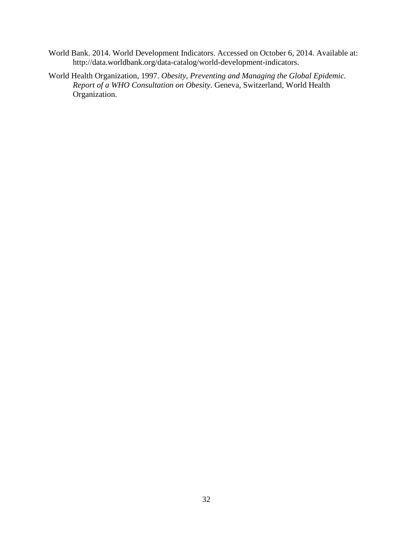- World Bank. 2014. World Development Indicators. Accessed on October 6, 2014. Available at: http://data.worldbank.org/data-catalog/world-development-indicators.
- World Health Organization, 1997. *Obesity, Preventing and Managing the Global Epidemic. Report of a WHO Consultation on Obesity*. Geneva, Switzerland, World Health Organization.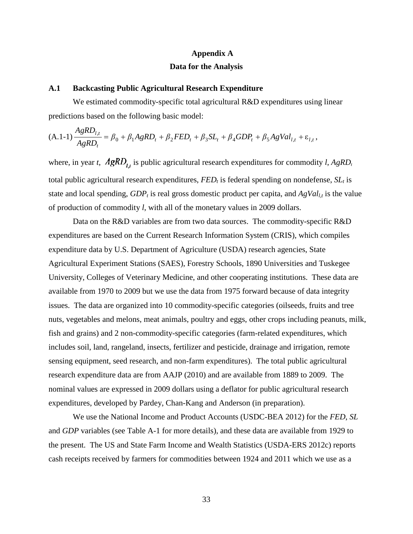# **Appendix A Data for the Analysis**

### **A.1 Backcasting Public Agricultural Research Expenditure**

*AgRD*

We estimated commodity-specific total agricultural R&D expenditures using linear predictions based on the following basic model:

$$
(A.1-1)\frac{AgRD_{l,t}}{AgRD_t} = \beta_0 + \beta_1 AgRD_t + \beta_2 FED_t + \beta_3 SL_t + \beta_4 GDP_t + \beta_5 AgVal_{l,t} + \varepsilon_{l,t},
$$

where, in year *t*,  $AgRD_{i}$  is public agricultural research expenditures for commodity *l*,  $AgRD_{i}$ total public agricultural research expenditures,  $FED_t$  is federal spending on nondefense,  $SL_t$  is state and local spending,  $GDP_t$  is real gross domestic product per capita, and  $AgVal_{lt}$  is the value of production of commodity *l*, with all of the monetary values in 2009 dollars.

Data on the R&D variables are from two data sources. The commodity-specific R&D expenditures are based on the Current Research Information System (CRIS), which compiles expenditure data by U.S. Department of Agriculture (USDA) research agencies, State Agricultural Experiment Stations (SAES), Forestry Schools, 1890 Universities and Tuskegee University, Colleges of Veterinary Medicine, and other cooperating institutions. These data are available from 1970 to 2009 but we use the data from 1975 forward because of data integrity issues. The data are organized into 10 commodity-specific categories (oilseeds, fruits and tree nuts, vegetables and melons, meat animals, poultry and eggs, other crops including peanuts, milk, fish and grains) and 2 non-commodity-specific categories (farm-related expenditures, which includes soil, land, rangeland, insects, fertilizer and pesticide, drainage and irrigation, remote sensing equipment, seed research, and non-farm expenditures). The total public agricultural research expenditure data are from AAJP (2010) and are available from 1889 to 2009. The nominal values are expressed in 2009 dollars using a deflator for public agricultural research expenditures, developed by Pardey, Chan-Kang and Anderson (in preparation).

We use the National Income and Product Accounts (USDC-BEA 2012) for the *FED*, *SL* and *GDP* variables (see Table A-1 for more details), and these data are available from 1929 to the present. The US and State Farm Income and Wealth Statistics (USDA-ERS 2012c) reports cash receipts received by farmers for commodities between 1924 and 2011 which we use as a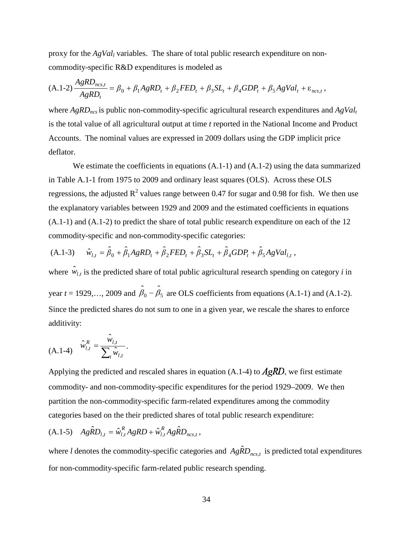proxy for the *AgVall* variables. The share of total public research expenditure on noncommodity-specific R&D expenditures is modeled as

$$
(A.1-2)\frac{AgRD_{ncs,t}}{AgRD_t} = \beta_0 + \beta_1 AgRD_t + \beta_2 FED_t + \beta_3 SL_t + \beta_4 GDP_t + \beta_5 AgVal_t + \varepsilon_{ncs,t},
$$

where  $AgRD_{ncs}$  is public non-commodity-specific agricultural research expenditures and  $AgVal_t$ is the total value of all agricultural output at time *t* reported in the National Income and Product Accounts. The nominal values are expressed in 2009 dollars using the GDP implicit price deflator.

We estimate the coefficients in equations  $(A.1-1)$  and  $(A.1-2)$  using the data summarized in Table A.1-1 from 1975 to 2009 and ordinary least squares (OLS). Across these OLS regressions, the adjusted  $R^2$  values range between 0.47 for sugar and 0.98 for fish. We then use the explanatory variables between 1929 and 2009 and the estimated coefficients in equations (A.1-1) and (A.1-2) to predict the share of total public research expenditure on each of the 12 commodity-specific and non-commodity-specific categories:

(A.1-3) 
$$
\hat{w}_{l,t} = \hat{\beta}_0 + \hat{\beta}_1 AgRD_t + \hat{\beta}_2 FED_t + \hat{\beta}_3 SL_t + \hat{\beta}_4 GDP_t + \hat{\beta}_5 AgVal_{l,t},
$$

where  $\hat{w}_{l,t}$  is the predicted share of total public agricultural research spending on category *i* in year *t* = 1929,..., 2009 and  $\hat{\beta}_0 - \hat{\beta}_5$  are OLS coefficients from equations (A.1-1) and (A.1-2). Since the predicted shares do not sum to one in a given year, we rescale the shares to enforce additivity:

$$
(A.1-4) \quad \hat{w}_{l,t}^R = \frac{\hat{w}_{l,t}}{\sum_i \hat{w}_{l,t}}.
$$

Applying the predicted and rescaled shares in equation (A.1-4) to  $A\cancel{g}RD$ , we first estimate commodity- and non-commodity-specific expenditures for the period 1929–2009. We then partition the non-commodity-specific farm-related expenditures among the commodity categories based on the their predicted shares of total public research expenditure:

$$
(A.1-5) \quad Ag\hat{R}D_{l,t} = \hat{w}_{l,t}^R AgRD + \hat{w}_{l,t}^R Ag\hat{R}D_{ncs,t},
$$

where *l* denotes the commodity-specific categories and  $Ag\hat{R}D_{ncs,t}$  is predicted total expenditures for non-commodity-specific farm-related public research spending.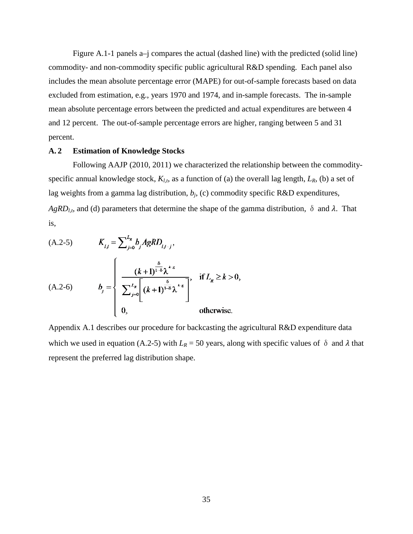Figure A.1-1 panels a–j compares the actual (dashed line) with the predicted (solid line) commodity- and non-commodity specific public agricultural R&D spending. Each panel also includes the mean absolute percentage error (MAPE) for out-of-sample forecasts based on data excluded from estimation, e.g., years 1970 and 1974, and in-sample forecasts. The in-sample mean absolute percentage errors between the predicted and actual expenditures are between 4 and 12 percent. The out-of-sample percentage errors are higher, ranging between 5 and 31 percent.

### **A. 2 Estimation of Knowledge Stocks**

Following AAJP (2010, 2011) we characterized the relationship between the commodityspecific annual knowledge stock,  $K_{l,t}$ , as a function of (a) the overall lag length,  $L_R$ , (b) a set of lag weights from a gamma lag distribution, *bj*, (c) commodity specific R&D expenditures,  $AgRD_{l,t}$ , and (d) parameters that determine the shape of the gamma distribution,  $\delta$  and  $\lambda$ . That is,

(A.2-5) 
$$
K_{l,j} = \sum_{j=0}^{L_R} b_j AgRD_{l,j,j},
$$
  
\n(A.2-6) 
$$
b_j = \begin{cases} \frac{(k+1)^{\frac{\delta}{1-\delta}}\lambda^{k-\epsilon}}{\sum_{j=0}^{L_R} \left[ (k+1)^{\frac{\delta}{1-\delta}}\lambda^{k-\epsilon} \right]}, & \text{if } L_R \geq k > 0, \\ 0, & \text{otherwise.} \end{cases}
$$

Appendix A.1 describes our procedure for backcasting the agricultural R&D expenditure data which we used in equation (A.2-5) with  $L_R$  = 50 years, along with specific values of  $\delta$  and  $\lambda$  that represent the preferred lag distribution shape.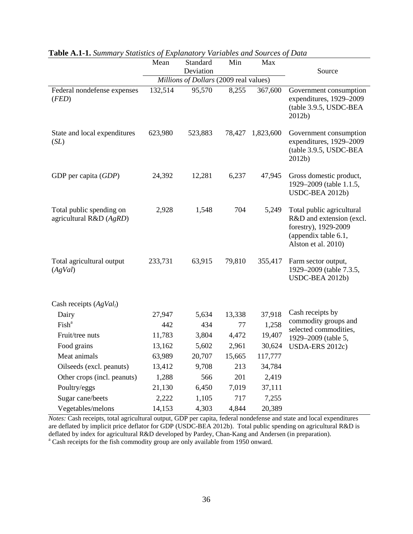|                                                       | Mean    | Standard                                            | Min    | Max              |                                                                                                                              |
|-------------------------------------------------------|---------|-----------------------------------------------------|--------|------------------|------------------------------------------------------------------------------------------------------------------------------|
|                                                       |         | Deviation<br>Millions of Dollars (2009 real values) |        |                  | Source                                                                                                                       |
| Federal nondefense expenses                           | 132,514 | 95,570                                              | 8,255  | 367,600          | Government consumption                                                                                                       |
| (FED)                                                 |         |                                                     |        |                  | expenditures, 1929-2009<br>(table 3.9.5, USDC-BEA<br>2012b)                                                                  |
| State and local expenditures<br>(SL)                  | 623,980 | 523,883                                             |        | 78,427 1,823,600 | Government consumption<br>expenditures, 1929-2009<br>(table 3.9.5, USDC-BEA<br>2012b)                                        |
| GDP per capita $(GDP)$                                | 24,392  | 12,281                                              | 6,237  | 47,945           | Gross domestic product,<br>1929–2009 (table 1.1.5,<br>USDC-BEA 2012b)                                                        |
| Total public spending on<br>agricultural R&D $(AgRD)$ | 2,928   | 1,548                                               | 704    | 5,249            | Total public agricultural<br>R&D and extension (excl.<br>forestry), 1929-2009<br>(appendix table 6.1,<br>Alston et al. 2010) |
| Total agricultural output<br>(AgVal)                  | 233,731 | 63,915                                              | 79,810 | 355,417          | Farm sector output,<br>1929–2009 (table 7.3.5,<br>USDC-BEA 2012b)                                                            |
| Cash receipts $(AgVall)$                              |         |                                                     |        |                  |                                                                                                                              |
| Dairy                                                 | 27,947  | 5,634                                               | 13,338 | 37,918           | Cash receipts by                                                                                                             |
| Fish <sup>a</sup>                                     | 442     | 434                                                 | 77     | 1,258            | commodity groups and<br>selected commodities,                                                                                |
| Fruit/tree nuts                                       | 11,783  | 3,804                                               | 4,472  | 19,407           | 1929-2009 (table 5,                                                                                                          |
| Food grains                                           | 13,162  | 5,602                                               | 2,961  | 30,624           | <b>USDA-ERS 2012c)</b>                                                                                                       |
| Meat animals                                          | 63,989  | 20,707                                              | 15,665 | 117,777          |                                                                                                                              |
| Oilseeds (excl. peanuts)                              | 13,412  | 9,708                                               | 213    | 34,784           |                                                                                                                              |
| Other crops (incl. peanuts)                           | 1,288   | 566                                                 | 201    | 2,419            |                                                                                                                              |
| Poultry/eggs                                          | 21,130  | 6,450                                               | 7,019  | 37,111           |                                                                                                                              |
| Sugar cane/beets                                      | 2,222   | 1,105                                               | 717    | 7,255            |                                                                                                                              |
| Vegetables/melons                                     | 14,153  | 4,303                                               | 4,844  | 20,389           |                                                                                                                              |

**Table A.1-1.** *Summary Statistics of Explanatory Variables and Sources of Data*

*Notes:* Cash receipts, total agricultural output, GDP per capita, federal nondefense and state and local expenditures are deflated by implicit price deflator for GDP (USDC-BEA 2012b). Total public spending on agricultural R&D is deflated by index for agricultural R&D developed by Pardey, Chan-Kang and Andersen (in preparation).<br><sup>a</sup> Cash receipts for the fish commodity group are only available from 1950 onward.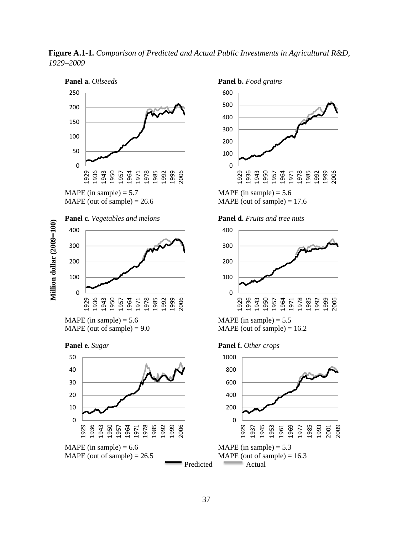**Figure A.1-1.** *Comparison of Predicted and Actual Public Investments in Agricultural R&D, –2009*





MAPE (out of sample)  $= 17.6$ 



MAPE (in sample)  $= 5.5$  $MAPE$  (out of sample) = 16.2



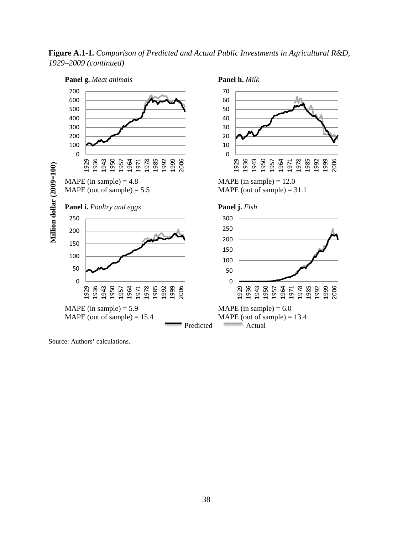**Figure A.1-1.** *Comparison of Predicted and Actual Public Investments in Agricultural R&D, –2009 (continued)*



Source: Authors' calculations.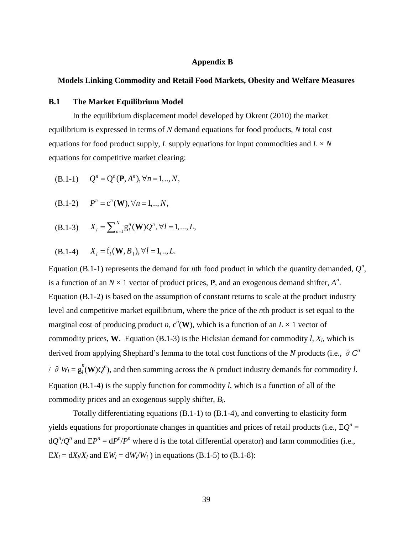### **Appendix B**

### **Models Linking Commodity and Retail Food Markets, Obesity and Welfare Measures**

### **B.1 The Market Equilibrium Model**

In the equilibrium displacement model developed by Okrent (2010) the market equilibrium is expressed in terms of *N* demand equations for food products, *N* total cost equations for food product supply, *L* supply equations for input commodities and  $L \times N$ equations for competitive market clearing:

(B.1-1) 
$$
Q^n = Q^n(P, A^n), \forall n = 1, ..., N,
$$

(B.1-2) 
$$
P^n = c^n(\mathbf{W}), \forall n = 1, ..., N,
$$

 $(X_1 - 3)$   $X_1 = \sum_{n=1}^{N} g_i^n(\mathbf{W}) Q^n, \forall l = 1, ..., L,$ 

(B.1-4) 
$$
X_l = f_l(\mathbf{W}, B_l), \forall l = 1, ..., L.
$$

Equation (B.1-1) represents the demand for *n*th food product in which the quantity demanded,  $Q^n$ , is a function of an  $N \times 1$  vector of product prices, **P**, and an exogenous demand shifter,  $A^n$ . Equation (B.1-2) is based on the assumption of constant returns to scale at the product industry level and competitive market equilibrium, where the price of the *n*th product is set equal to the marginal cost of producing product *n*,  $c^n$ (**W**), which is a function of an  $L \times 1$  vector of commodity prices, **W**. Equation (B.1-3) is the Hicksian demand for commodity  $l$ ,  $X_l$ , which is derived from applying Shephard's lemma to the total cost functions of the *N* products (i.e.,  $\partial C^n$ */* ∂  $W_l = g_l^n$ (**W**) $Q^n$ ), and then summing across the *N* product industry demands for commodity *l*. Equation (B.1-4) is the supply function for commodity *l*, which is a function of all of the commodity prices and an exogenous supply shifter, *Bl*.

Totally differentiating equations (B.1-1) to (B.1-4), and converting to elasticity form yields equations for proportionate changes in quantities and prices of retail products (i.e.,  $EQ^{n}$  =  $dQ^{n}/Q^{n}$  and  $E P^{n} = dP^{n}/P^{n}$  where d is the total differential operator) and farm commodities (i.e.,  $EX_l = dX_l/X_l$  and  $EW_l = dW_l/W_l$ ) in equations (B.1-5) to (B.1-8):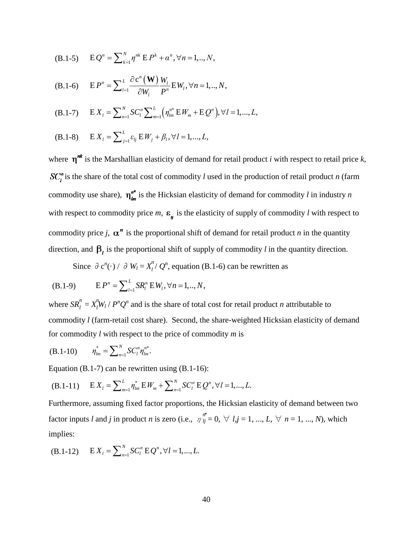(B.1-5) 
$$
E Q^n = \sum_{k=1}^N \eta^{nk} E P^k + \alpha^n, \forall n = 1, ..., N,
$$

(B.1-6) 
$$
E P^n = \sum_{l=1}^L \frac{\partial c^n(\mathbf{W})}{\partial W_l} \frac{W_l}{P^n} E W_l, \forall n = 1, ..., N,
$$

(B.1-7) 
$$
E X_{l} = \sum_{n=1}^{N} SC_{l}^{n} \sum_{m=1}^{L} (\eta_{lm}^{n*} E W_{m} + E Q^{n}), \forall l = 1,...,L,
$$

(B.1-8) 
$$
E X_i = \sum_{j=1}^{L} \varepsilon_{ij} E W_j + \beta_i, \forall l = 1,...,L,
$$

where  $\eta^{nk}$  is the Marshallian elasticity of demand for retail product *i* with respect to retail price *k*,  $SC<sub>i</sub><sup>n</sup>$  is the share of the total cost of commodity *l* used in the production of retail product *n* (farm commodity use share),  $\eta_{lm}^{n*}$  is the Hicksian elasticity of demand for commodity *l* in industry *n* with respect to commodity price *m*,  $\varepsilon_{ij}$  is the elasticity of supply of commodity *l* with respect to commodity price *j*,  $\alpha^n$  is the proportional shift of demand for retail product *n* in the quantity direction, and  $\beta_l$  is the proportional shift of supply of commodity *l* in the quantity direction.

Since  $\partial c^n(\cdot) / \partial W_l = X_l^n / Q^n$ , equation (B.1-6) can be rewritten as

(B.1-9) 
$$
E P^n = \sum_{l=1}^L SR_l^n E W_l, \forall n = 1, ..., N,
$$

where  $SR_l^n = X_l^n$  $\int_l^m W_l / P^n Q^n$  and is the share of total cost for retail product *n* attributable to commodity *l* (farm-retail cost share). Second, the share-weighted Hicksian elasticity of demand for commodity *l* with respect to the price of commodity *m* is

$$
(B.1-10) \t\t \eta_{lm}^* = \sum_{n=1}^N SC_l^n \eta_{lm}^{n*}.
$$

Equation (B.1-7) can be rewritten using (B.1-16):

(B.1-11) 
$$
E X_l = \sum_{m=1}^L \eta_{lm}^* E W_m + \sum_{n=1}^N SC_l^n E Q^n, \forall l = 1, ..., L.
$$

Furthermore, assuming fixed factor proportions, the Hicksian elasticity of demand between two factor inputs *l* and *j* in product *n* is zero (i.e.,  $\eta_{ij}^{n}$ *f*<sup>\*</sup> = 0, ∀ *l*,*j* = 1, ..., *L*, ∀ *n* = 1, ..., *N*), which implies:

(B.1-12) 
$$
E X_l = \sum_{n=1}^{N} SC_l^n E Q^n, \forall l = 1, ..., L.
$$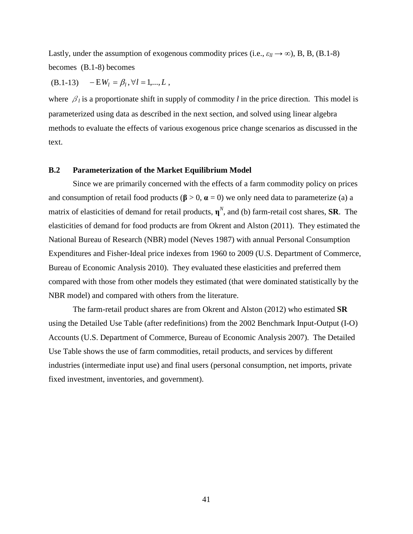Lastly, under the assumption of exogenous commodity prices (i.e.,  $\varepsilon_{ll} \rightarrow \infty$ ), B, B, (B.1-8) becomes (B.1-8) becomes

 $(B.1-13)$   $-EW_l = \beta_l, \forall l = 1,..., L$ ,

where  $\beta_l$  is a proportionate shift in supply of commodity *l* in the price direction. This model is parameterized using data as described in the next section, and solved using linear algebra methods to evaluate the effects of various exogenous price change scenarios as discussed in the text.

### **B.2 Parameterization of the Market Equilibrium Model**

Since we are primarily concerned with the effects of a farm commodity policy on prices and consumption of retail food products ( $\beta > 0$ ,  $\alpha = 0$ ) we only need data to parameterize (a) a matrix of elasticities of demand for retail products, **η***<sup>N</sup>* , and (b) farm-retail cost shares, **SR**. The elasticities of demand for food products are from Okrent and Alston (2011). They estimated the National Bureau of Research (NBR) model (Neves 1987) with annual Personal Consumption Expenditures and Fisher-Ideal price indexes from 1960 to 2009 (U.S. Department of Commerce, Bureau of Economic Analysis 2010). They evaluated these elasticities and preferred them compared with those from other models they estimated (that were dominated statistically by the NBR model) and compared with others from the literature.

The farm-retail product shares are from Okrent and Alston (2012) who estimated **SR** using the Detailed Use Table (after redefinitions) from the 2002 Benchmark Input-Output (I-O) Accounts (U.S. Department of Commerce, Bureau of Economic Analysis 2007). The Detailed Use Table shows the use of farm commodities, retail products, and services by different industries (intermediate input use) and final users (personal consumption, net imports, private fixed investment, inventories, and government).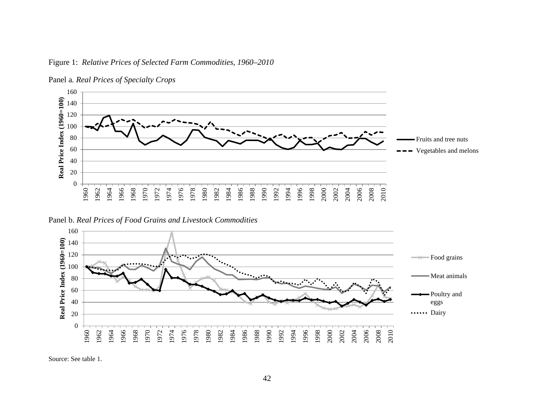

Figure 1: *Relative Prices of Selected Farm Commodities, 1960–2010*

Panel b. *Real Prices of Food Grains and Livestock Commodities*



Source: See table 1.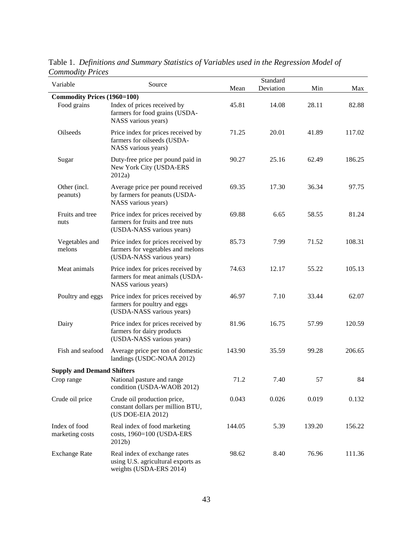| $onunoury$ . The $\sim$<br>Variable | Source                                                                                               | Mean   | Standard<br>Deviation | Min    | Max    |
|-------------------------------------|------------------------------------------------------------------------------------------------------|--------|-----------------------|--------|--------|
| <b>Commodity Prices (1960=100)</b>  |                                                                                                      |        |                       |        |        |
| Food grains                         | Index of prices received by<br>farmers for food grains (USDA-<br>NASS various years)                 | 45.81  | 14.08                 | 28.11  | 82.88  |
| Oilseeds                            | Price index for prices received by<br>farmers for oilseeds (USDA-<br>NASS various years)             | 71.25  | 20.01                 | 41.89  | 117.02 |
| Sugar                               | Duty-free price per pound paid in<br>New York City (USDA-ERS<br>2012a)                               | 90.27  | 25.16                 | 62.49  | 186.25 |
| Other (incl.<br>peanuts)            | Average price per pound received<br>by farmers for peanuts (USDA-<br>NASS various years)             | 69.35  | 17.30                 | 36.34  | 97.75  |
| Fruits and tree<br>nuts             | Price index for prices received by<br>farmers for fruits and tree nuts<br>(USDA-NASS various years)  | 69.88  | 6.65                  | 58.55  | 81.24  |
| Vegetables and<br>melons            | Price index for prices received by<br>farmers for vegetables and melons<br>(USDA-NASS various years) | 85.73  | 7.99                  | 71.52  | 108.31 |
| Meat animals                        | Price index for prices received by<br>farmers for meat animals (USDA-<br>NASS various years)         | 74.63  | 12.17                 | 55.22  | 105.13 |
| Poultry and eggs                    | Price index for prices received by<br>farmers for poultry and eggs<br>(USDA-NASS various years)      | 46.97  | 7.10                  | 33.44  | 62.07  |
| Dairy                               | Price index for prices received by<br>farmers for dairy products<br>(USDA-NASS various years)        | 81.96  | 16.75                 | 57.99  | 120.59 |
| Fish and seafood                    | Average price per ton of domestic<br>landings (USDC-NOAA 2012)                                       | 143.90 | 35.59                 | 99.28  | 206.65 |
| <b>Supply and Demand Shifters</b>   |                                                                                                      |        |                       |        |        |
| Crop range                          | National pasture and range<br>condition (USDA-WAOB 2012)                                             | 71.2   | 7.40                  | 57     | 84     |
| Crude oil price                     | Crude oil production price,<br>constant dollars per million BTU,<br>(US DOE-EIA 2012)                | 0.043  | 0.026                 | 0.019  | 0.132  |
| Index of food<br>marketing costs    | Real index of food marketing<br>costs, 1960=100 (USDA-ERS<br>2012b)                                  | 144.05 | 5.39                  | 139.20 | 156.22 |
| <b>Exchange Rate</b>                | Real index of exchange rates<br>using U.S. agricultural exports as<br>weights (USDA-ERS 2014)        | 98.62  | 8.40                  | 76.96  | 111.36 |

Table 1. *Definitions and Summary Statistics of Variables used in the Regression Model of Commodity Prices*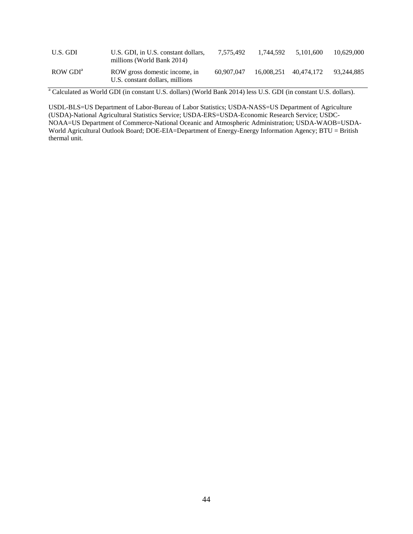| U.S. GDI                       | U.S. GDI, in U.S. constant dollars,<br>millions (World Bank 2014) | 7.575.492  | 1.744.592 | 5.101.600             | 10.629,000 |
|--------------------------------|-------------------------------------------------------------------|------------|-----------|-----------------------|------------|
| $\rm{ROW}$ $\rm{GDI}^{\rm{a}}$ | ROW gross domestic income, in<br>U.S. constant dollars, millions  | 60.907.047 |           | 16.008.251 40.474.172 | 93.244.885 |

<sup>a</sup> Calculated as World GDI (in constant U.S. dollars) (World Bank 2014) less U.S. GDI (in constant U.S. dollars).

USDL-BLS=US Department of Labor-Bureau of Labor Statistics; USDA-NASS=US Department of Agriculture (USDA)-National Agricultural Statistics Service; USDA-ERS=USDA-Economic Research Service; USDC-NOAA=US Department of Commerce-National Oceanic and Atmospheric Administration; USDA-WAOB=USDA-World Agricultural Outlook Board; DOE-EIA=Department of Energy-Energy Information Agency; BTU = British thermal unit.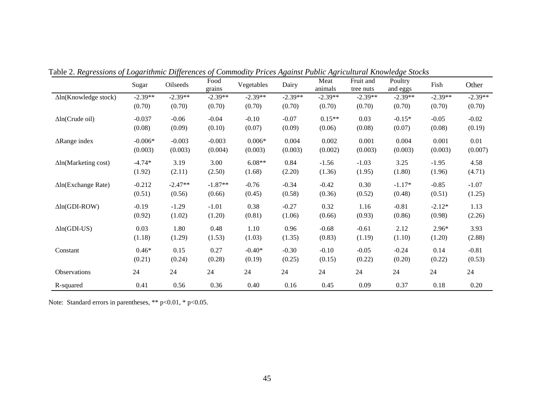|                              | Sugar     | Oilseeds  | Food<br>grains | Vegetables | Dairy     | Meat<br>animals | Fruit and<br>tree nuts | Poultry<br>and eggs | Fish      | Other     |
|------------------------------|-----------|-----------|----------------|------------|-----------|-----------------|------------------------|---------------------|-----------|-----------|
| $\Delta$ ln(Knowledge stock) | $-2.39**$ | $-2.39**$ | $-2.39**$      | $-2.39**$  | $-2.39**$ | $-2.39**$       | $-2.39**$              | $-2.39**$           | $-2.39**$ | $-2.39**$ |
|                              | (0.70)    | (0.70)    | (0.70)         | (0.70)     | (0.70)    | (0.70)          | (0.70)                 | (0.70)              | (0.70)    | (0.70)    |
| $\Delta$ ln(Crude oil)       | $-0.037$  | $-0.06$   | $-0.04$        | $-0.10$    | $-0.07$   | $0.15**$        | 0.03                   | $-0.15*$            | $-0.05$   | $-0.02$   |
|                              | (0.08)    | (0.09)    | (0.10)         | (0.07)     | (0.09)    | (0.06)          | (0.08)                 | (0.07)              | (0.08)    | (0.19)    |
| $\Delta$ Range index         | $-0.006*$ | $-0.003$  | $-0.003$       | $0.006*$   | 0.004     | 0.002           | 0.001                  | 0.004               | 0.001     | 0.01      |
|                              | (0.003)   | (0.003)   | (0.004)        | (0.003)    | (0.003)   | (0.002)         | (0.003)                | (0.003)             | (0.003)   | (0.007)   |
| $\Delta$ ln(Marketing cost)  | $-4.74*$  | 3.19      | 3.00           | $6.08**$   | 0.84      | $-1.56$         | $-1.03$                | 3.25                | $-1.95$   | 4.58      |
|                              | (1.92)    | (2.11)    | (2.50)         | (1.68)     | (2.20)    | (1.36)          | (1.95)                 | (1.80)              | (1.96)    | (4.71)    |
| $\Delta$ ln(Exchange Rate)   | $-0.212$  | $-2.47**$ | $-1.87**$      | $-0.76$    | $-0.34$   | $-0.42$         | 0.30                   | $-1.17*$            | $-0.85$   | $-1.07$   |
|                              | (0.51)    | (0.56)    | (0.66)         | (0.45)     | (0.58)    | (0.36)          | (0.52)                 | (0.48)              | (0.51)    | (1.25)    |
| $\Delta$ ln(GDI-ROW)         | $-0.19$   | $-1.29$   | $-1.01$        | 0.38       | $-0.27$   | 0.32            | 1.16                   | $-0.81$             | $-2.12*$  | 1.13      |
|                              | (0.92)    | (1.02)    | (1.20)         | (0.81)     | (1.06)    | (0.66)          | (0.93)                 | (0.86)              | (0.98)    | (2.26)    |
| $\Delta$ ln(GDI-US)          | 0.03      | 1.80      | 0.48           | 1.10       | 0.96      | $-0.68$         | $-0.61$                | 2.12                | $2.96*$   | 3.93      |
|                              | (1.18)    | (1.29)    | (1.53)         | (1.03)     | (1.35)    | (0.83)          | (1.19)                 | (1.10)              | (1.20)    | (2.88)    |
| Constant                     | $0.46*$   | 0.15      | 0.27           | $-0.40*$   | $-0.30$   | $-0.10$         | $-0.05$                | $-0.24$             | 0.14      | $-0.81$   |
|                              | (0.21)    | (0.24)    | (0.28)         | (0.19)     | (0.25)    | (0.15)          | (0.22)                 | (0.20)              | (0.22)    | (0.53)    |
| Observations                 | 24        | 24        | 24             | 24         | 24        | 24              | 24                     | 24                  | 24        | 24        |
| R-squared                    | 0.41      | 0.56      | 0.36           | 0.40       | 0.16      | 0.45            | 0.09                   | 0.37                | 0.18      | 0.20      |

Table 2. *Regressions of Logarithmic Differences of Commodity Prices Against Public Agricultural Knowledge Stocks*

Note: Standard errors in parentheses, \*\* p<0.01, \* p<0.05.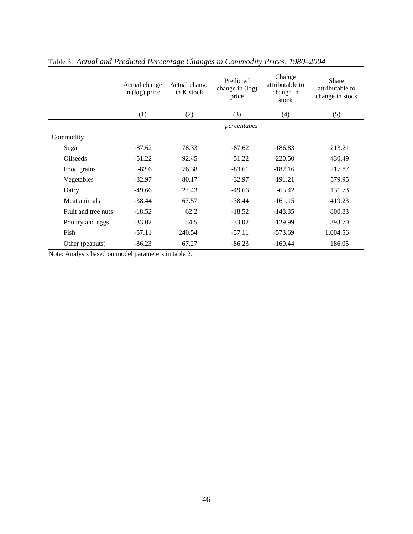|                     | Actual change<br>in (log) price | Actual change<br>in K stock | Predicted<br>change in (log)<br>price | Change<br>attributable to<br>change in<br>stock | Share<br>attributable to<br>change in stock |
|---------------------|---------------------------------|-----------------------------|---------------------------------------|-------------------------------------------------|---------------------------------------------|
|                     | (1)                             | (2)                         | (3)                                   | (4)                                             | (5)                                         |
|                     |                                 |                             | percentages                           |                                                 |                                             |
| Commodity           |                                 |                             |                                       |                                                 |                                             |
| Sugar               | $-87.62$                        | 78.33                       | $-87.62$                              | $-186.83$                                       | 213.21                                      |
| <b>Oilseeds</b>     | $-51.22$                        | 92.45                       | $-51.22$                              | $-220.50$                                       | 430.49                                      |
| Food grains         | $-83.6$                         | 76.38                       | $-83.61$                              | $-182.16$                                       | 217.87                                      |
| Vegetables          | $-32.97$                        | 80.17                       | $-32.97$                              | $-191.21$                                       | 579.95                                      |
| Dairy               | $-49.66$                        | 27.43                       | $-49.66$                              | $-65.42$                                        | 131.73                                      |
| Meat animals        | $-38.44$                        | 67.57                       | $-38.44$                              | $-161.15$                                       | 419.23                                      |
| Fruit and tree nuts | $-18.52$                        | 62.2                        | $-18.52$                              | $-148.35$                                       | 800.83                                      |
| Poultry and eggs    | $-33.02$                        | 54.5                        | $-33.02$                              | $-129.99$                                       | 393.70                                      |
| Fish                | $-57.11$                        | 240.54                      | $-57.11$                              | $-573.69$                                       | 1,004.56                                    |
| Other (peanuts)     | $-86.23$                        | 67.27                       | $-86.23$                              | $-160.44$                                       | 186.05                                      |

# Table 3. *Actual and Predicted Percentage Changes in Commodity Prices, 1980–2004*

Note: Analysis based on model parameters in table 2.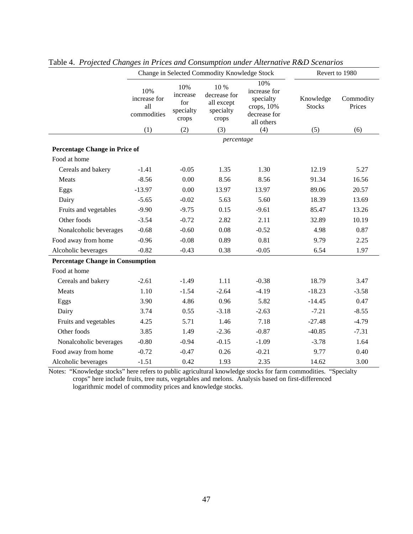|                                         |                                           |                                              | Change in Selected Commodity Knowledge Stock             |                                                                                | Revert to 1980             |                     |
|-----------------------------------------|-------------------------------------------|----------------------------------------------|----------------------------------------------------------|--------------------------------------------------------------------------------|----------------------------|---------------------|
|                                         | 10%<br>increase for<br>all<br>commodities | 10%<br>increase<br>for<br>specialty<br>crops | 10 %<br>decrease for<br>all except<br>specialty<br>crops | 10%<br>increase for<br>specialty<br>crops, $10%$<br>decrease for<br>all others | Knowledge<br><b>Stocks</b> | Commodity<br>Prices |
|                                         | (1)                                       | (2)                                          | (3)                                                      | (4)                                                                            | (5)                        | (6)                 |
|                                         |                                           |                                              | percentage                                               |                                                                                |                            |                     |
| Percentage Change in Price of           |                                           |                                              |                                                          |                                                                                |                            |                     |
| Food at home                            |                                           |                                              |                                                          |                                                                                |                            |                     |
| Cereals and bakery                      | $-1.41$                                   | $-0.05$                                      | 1.35                                                     | 1.30                                                                           | 12.19                      | 5.27                |
| Meats                                   | $-8.56$                                   | 0.00                                         | 8.56                                                     | 8.56                                                                           | 91.34                      | 16.56               |
| Eggs                                    | $-13.97$                                  | 0.00                                         | 13.97                                                    | 13.97                                                                          | 89.06                      | 20.57               |
| Dairy                                   | $-5.65$                                   | $-0.02$                                      | 5.63                                                     | 5.60                                                                           | 18.39                      | 13.69               |
| Fruits and vegetables                   | $-9.90$                                   | $-9.75$                                      | 0.15                                                     | $-9.61$                                                                        | 85.47                      | 13.26               |
| Other foods                             | $-3.54$                                   | $-0.72$                                      | 2.82                                                     | 2.11                                                                           | 32.89                      | 10.19               |
| Nonalcoholic beverages                  | $-0.68$                                   | $-0.60$                                      | 0.08                                                     | $-0.52$                                                                        | 4.98                       | 0.87                |
| Food away from home                     | $-0.96$                                   | $-0.08$                                      | 0.89                                                     | 0.81                                                                           | 9.79                       | 2.25                |
| Alcoholic beverages                     | $-0.82$                                   | $-0.43$                                      | 0.38                                                     | $-0.05$                                                                        | 6.54                       | 1.97                |
| <b>Percentage Change in Consumption</b> |                                           |                                              |                                                          |                                                                                |                            |                     |
| Food at home                            |                                           |                                              |                                                          |                                                                                |                            |                     |
| Cereals and bakery                      | $-2.61$                                   | $-1.49$                                      | 1.11                                                     | $-0.38$                                                                        | 18.79                      | 3.47                |
| Meats                                   | 1.10                                      | $-1.54$                                      | $-2.64$                                                  | $-4.19$                                                                        | $-18.23$                   | $-3.58$             |
| Eggs                                    | 3.90                                      | 4.86                                         | 0.96                                                     | 5.82                                                                           | $-14.45$                   | 0.47                |
| Dairy                                   | 3.74                                      | 0.55                                         | $-3.18$                                                  | $-2.63$                                                                        | $-7.21$                    | $-8.55$             |
| Fruits and vegetables                   | 4.25                                      | 5.71                                         | 1.46                                                     | 7.18                                                                           | $-27.48$                   | $-4.79$             |
| Other foods                             | 3.85                                      | 1.49                                         | $-2.36$                                                  | $-0.87$                                                                        | $-40.85$                   | $-7.31$             |
| Nonalcoholic beverages                  | $-0.80$                                   | $-0.94$                                      | $-0.15$                                                  | $-1.09$                                                                        | $-3.78$                    | 1.64                |
| Food away from home                     | $-0.72$                                   | $-0.47$                                      | 0.26                                                     | $-0.21$                                                                        | 9.77                       | 0.40                |
| Alcoholic beverages                     | $-1.51$                                   | 0.42                                         | 1.93                                                     | 2.35                                                                           | 14.62                      | 3.00                |

Table 4. *Projected Changes in Prices and Consumption under Alternative R&D Scenarios*

Notes: "Knowledge stocks" here refers to public agricultural knowledge stocks for farm commodities. "Specialty crops" here include fruits, tree nuts, vegetables and melons. Analysis based on first-differenced logarithmic model of commodity prices and knowledge stocks.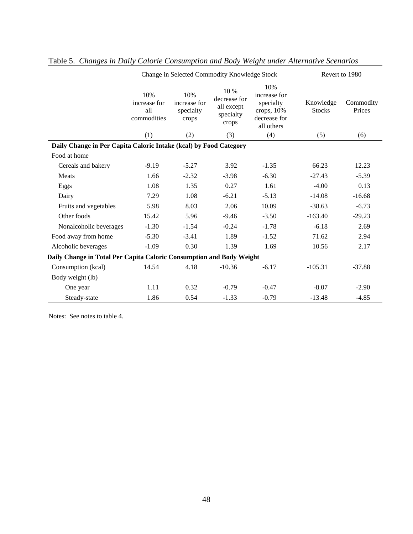|                                                                      |                                           | Change in Selected Commodity Knowledge Stock | Revert to 1980                                           |                                                                              |                            |                     |  |  |
|----------------------------------------------------------------------|-------------------------------------------|----------------------------------------------|----------------------------------------------------------|------------------------------------------------------------------------------|----------------------------|---------------------|--|--|
|                                                                      | 10%<br>increase for<br>all<br>commodities | 10%<br>increase for<br>specialty<br>crops    | 10 %<br>decrease for<br>all except<br>specialty<br>crops | 10%<br>increase for<br>specialty<br>crops, 10%<br>decrease for<br>all others | Knowledge<br><b>Stocks</b> | Commodity<br>Prices |  |  |
|                                                                      | (1)                                       | (2)                                          | (3)                                                      | (4)                                                                          | (5)                        | (6)                 |  |  |
| Daily Change in Per Capita Caloric Intake (kcal) by Food Category    |                                           |                                              |                                                          |                                                                              |                            |                     |  |  |
| Food at home                                                         |                                           |                                              |                                                          |                                                                              |                            |                     |  |  |
| Cereals and bakery                                                   | $-9.19$                                   | $-5.27$                                      | 3.92                                                     | $-1.35$                                                                      | 66.23                      | 12.23               |  |  |
| Meats                                                                | 1.66                                      | $-2.32$                                      | $-3.98$                                                  | $-6.30$                                                                      | $-27.43$                   | $-5.39$             |  |  |
| Eggs                                                                 | 1.08                                      | 1.35                                         | 0.27                                                     | 1.61                                                                         | $-4.00$                    | 0.13                |  |  |
| Dairy                                                                | 7.29                                      | 1.08                                         | $-6.21$                                                  | $-5.13$                                                                      | $-14.08$                   | $-16.68$            |  |  |
| Fruits and vegetables                                                | 5.98                                      | 8.03                                         | 2.06                                                     | 10.09                                                                        | $-38.63$                   | $-6.73$             |  |  |
| Other foods                                                          | 15.42                                     | 5.96                                         | $-9.46$                                                  | $-3.50$                                                                      | $-163.40$                  | $-29.23$            |  |  |
| Nonalcoholic beverages                                               | $-1.30$                                   | $-1.54$                                      | $-0.24$                                                  | $-1.78$                                                                      | $-6.18$                    | 2.69                |  |  |
| Food away from home                                                  | $-5.30$                                   | $-3.41$                                      | 1.89                                                     | $-1.52$                                                                      | 71.62                      | 2.94                |  |  |
| Alcoholic beverages                                                  | $-1.09$                                   | 0.30                                         | 1.39                                                     | 1.69                                                                         | 10.56                      | 2.17                |  |  |
| Daily Change in Total Per Capita Caloric Consumption and Body Weight |                                           |                                              |                                                          |                                                                              |                            |                     |  |  |
| Consumption (kcal)                                                   | 14.54                                     | 4.18                                         | $-10.36$                                                 | $-6.17$                                                                      | $-105.31$                  | $-37.88$            |  |  |
| Body weight (lb)                                                     |                                           |                                              |                                                          |                                                                              |                            |                     |  |  |
| One year                                                             | 1.11                                      | 0.32                                         | $-0.79$                                                  | $-0.47$                                                                      | $-8.07$                    | $-2.90$             |  |  |
| Steady-state                                                         | 1.86                                      | 0.54                                         | $-1.33$                                                  | $-0.79$                                                                      | $-13.48$                   | $-4.85$             |  |  |

# Table 5. *Changes in Daily Calorie Consumption and Body Weight under Alternative Scenarios*

Notes: See notes to table 4.